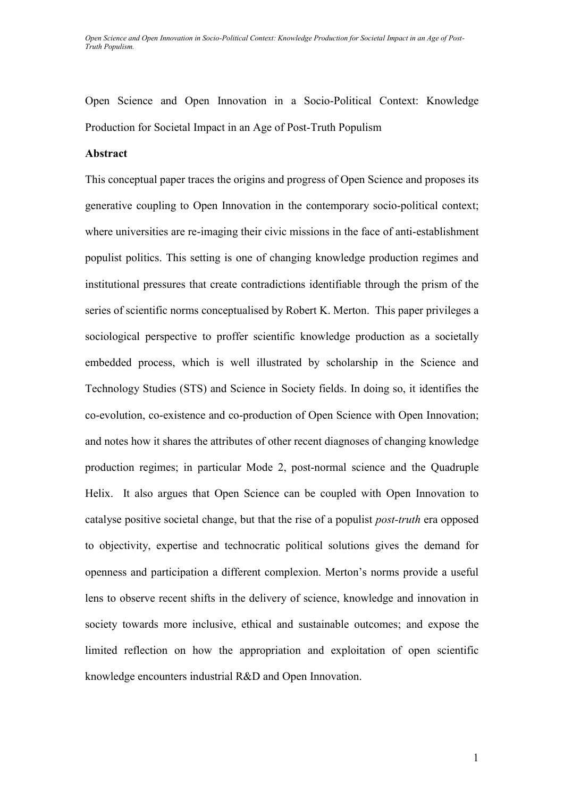## **Abstract**

This conceptual paper traces the origins and progress of Open Science and proposes its generative coupling to Open Innovation in the contemporary socio-political context; where universities are re-imaging their civic missions in the face of anti-establishment populist politics. This setting is one of changing knowledge production regimes and institutional pressures that create contradictions identifiable through the prism of the series of scientific norms conceptualised by Robert K. Merton. This paper privileges a sociological perspective to proffer scientific knowledge production as a societally embedded process, which is well illustrated by scholarship in the Science and Technology Studies (STS) and Science in Society fields. In doing so, it identifies the co-evolution, co-existence and co-production of Open Science with Open Innovation; and notes how it shares the attributes of other recent diagnoses of changing knowledge production regimes; in particular Mode 2, post-normal science and the Quadruple Helix. It also argues that Open Science can be coupled with Open Innovation to catalyse positive societal change, but that the rise of a populist *post-truth* era opposed to objectivity, expertise and technocratic political solutions gives the demand for openness and participation a different complexion. Merton's norms provide a useful lens to observe recent shifts in the delivery of science, knowledge and innovation in society towards more inclusive, ethical and sustainable outcomes; and expose the limited reflection on how the appropriation and exploitation of open scientific knowledge encounters industrial R&D and Open Innovation.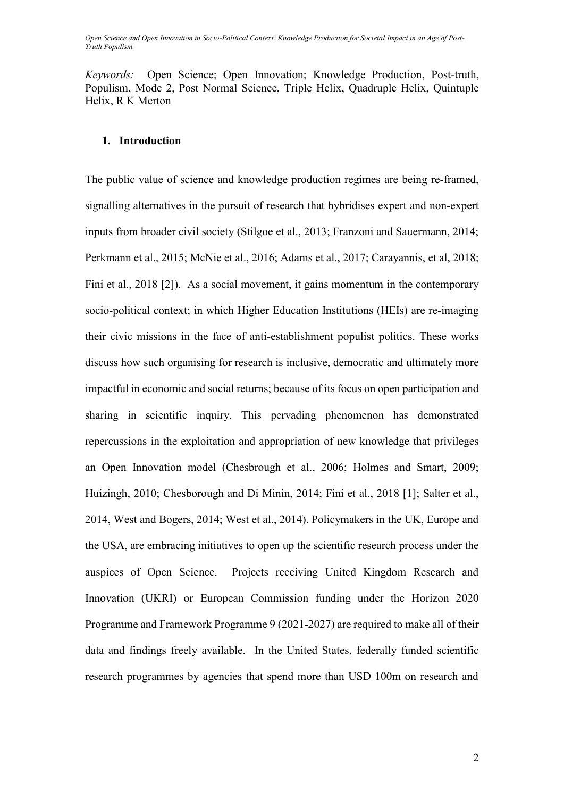*Keywords:*Open Science; Open Innovation; Knowledge Production, Post-truth, Populism, Mode 2, Post Normal Science, Triple Helix, Quadruple Helix, Quintuple Helix, R K Merton

## **1. Introduction**

The public value of science and knowledge production regimes are being re-framed, signalling alternatives in the pursuit of research that hybridises expert and non-expert inputs from broader civil society (Stilgoe et al., 2013; Franzoni and Sauermann, 2014; Perkmann et al., 2015; McNie et al., 2016; Adams et al., 2017; Carayannis, et al, 2018; Fini et al., 2018 [2]). As a social movement, it gains momentum in the contemporary socio-political context; in which Higher Education Institutions (HEIs) are re-imaging their civic missions in the face of anti-establishment populist politics. These works discuss how such organising for research is inclusive, democratic and ultimately more impactful in economic and social returns; because of its focus on open participation and sharing in scientific inquiry. This pervading phenomenon has demonstrated repercussions in the exploitation and appropriation of new knowledge that privileges an Open Innovation model (Chesbrough et al., 2006; Holmes and Smart, 2009; Huizingh, 2010; Chesborough and Di Minin, 2014; Fini et al., 2018 [1]; Salter et al., 2014, West and Bogers, 2014; West et al., 2014). Policymakers in the UK, Europe and the USA, are embracing initiatives to open up the scientific research process under the auspices of Open Science. Projects receiving United Kingdom Research and Innovation (UKRI) or European Commission funding under the Horizon 2020 Programme and Framework Programme 9 (2021-2027) are required to make all of their data and findings freely available. In the United States, federally funded scientific research programmes by agencies that spend more than USD 100m on research and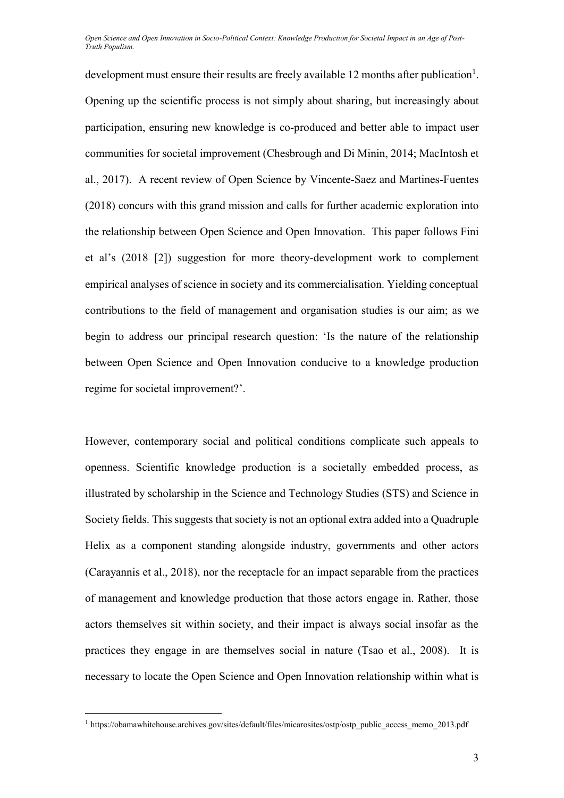development must ensure their results are freely available 12 months after publication<sup>1</sup>. Opening up the scientific process is not simply about sharing, but increasingly about participation, ensuring new knowledge is co-produced and better able to impact user communities for societal improvement (Chesbrough and Di Minin, 2014; MacIntosh et al., 2017). A recent review of Open Science by Vincente-Saez and Martines-Fuentes (2018) concurs with this grand mission and calls for further academic exploration into the relationship between Open Science and Open Innovation. This paper follows Fini et al's (2018 [2]) suggestion for more theory-development work to complement empirical analyses of science in society and its commercialisation. Yielding conceptual contributions to the field of management and organisation studies is our aim; as we begin to address our principal research question: 'Is the nature of the relationship between Open Science and Open Innovation conducive to a knowledge production regime for societal improvement?'.

However, contemporary social and political conditions complicate such appeals to openness. Scientific knowledge production is a societally embedded process, as illustrated by scholarship in the Science and Technology Studies (STS) and Science in Society fields. This suggests that society is not an optional extra added into a Quadruple Helix as a component standing alongside industry, governments and other actors (Carayannis et al., 2018), nor the receptacle for an impact separable from the practices of management and knowledge production that those actors engage in. Rather, those actors themselves sit within society, and their impact is always social insofar as the practices they engage in are themselves social in nature (Tsao et al., 2008). It is necessary to locate the Open Science and Open Innovation relationship within what is

 $\overline{a}$ 

<sup>&</sup>lt;sup>1</sup> https://obamawhitehouse.archives.gov/sites/default/files/micarosites/ostp/ostp\_public\_access\_memo\_2013.pdf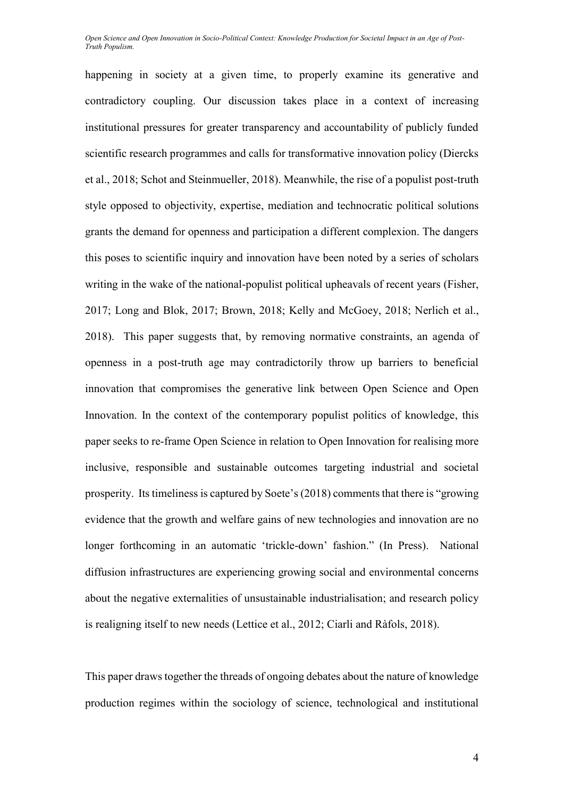happening in society at a given time, to properly examine its generative and contradictory coupling. Our discussion takes place in a context of increasing institutional pressures for greater transparency and accountability of publicly funded scientific research programmes and calls for transformative innovation policy (Diercks et al., 2018; Schot and Steinmueller, 2018). Meanwhile, the rise of a populist post-truth style opposed to objectivity, expertise, mediation and technocratic political solutions grants the demand for openness and participation a different complexion. The dangers this poses to scientific inquiry and innovation have been noted by a series of scholars writing in the wake of the national-populist political upheavals of recent years (Fisher, 2017; Long and Blok, 2017; Brown, 2018; Kelly and McGoey, 2018; Nerlich et al., 2018). This paper suggests that, by removing normative constraints, an agenda of openness in a post-truth age may contradictorily throw up barriers to beneficial innovation that compromises the generative link between Open Science and Open Innovation. In the context of the contemporary populist politics of knowledge, this paper seeks to re-frame Open Science in relation to Open Innovation for realising more inclusive, responsible and sustainable outcomes targeting industrial and societal prosperity. Its timeliness is captured by Soete's (2018) comments that there is "growing evidence that the growth and welfare gains of new technologies and innovation are no longer forthcoming in an automatic 'trickle-down' fashion." (In Press). National diffusion infrastructures are experiencing growing social and environmental concerns about the negative externalities of unsustainable industrialisation; and research policy is realigning itself to new needs (Lettice et al., 2012; Ciarli and Ràfols, 2018).

This paper draws together the threads of ongoing debates about the nature of knowledge production regimes within the sociology of science, technological and institutional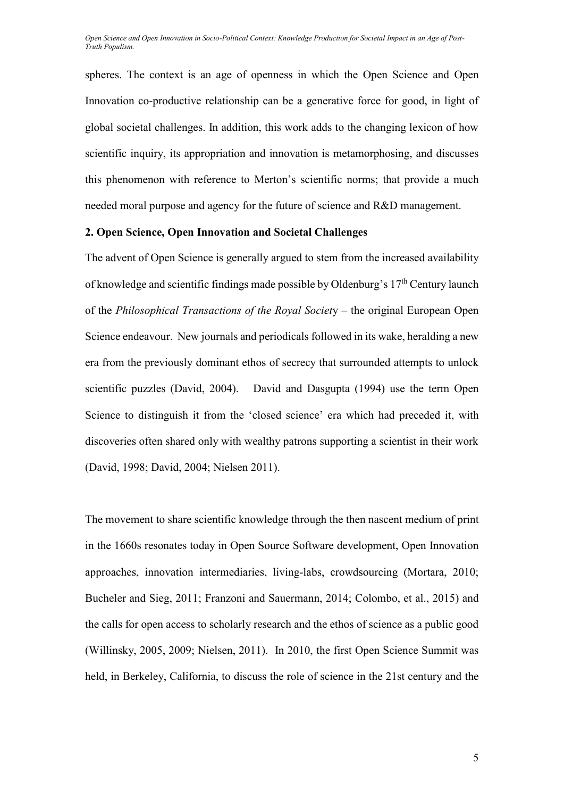spheres. The context is an age of openness in which the Open Science and Open Innovation co-productive relationship can be a generative force for good, in light of global societal challenges. In addition, this work adds to the changing lexicon of how scientific inquiry, its appropriation and innovation is metamorphosing, and discusses this phenomenon with reference to Merton's scientific norms; that provide a much needed moral purpose and agency for the future of science and R&D management.

## **2. Open Science, Open Innovation and Societal Challenges**

The advent of Open Science is generally argued to stem from the increased availability of knowledge and scientific findings made possible by Oldenburg's 17<sup>th</sup> Century launch of the *Philosophical Transactions of the Royal Societ*y – the original European Open Science endeavour. New journals and periodicals followed in its wake, heralding a new era from the previously dominant ethos of secrecy that surrounded attempts to unlock scientific puzzles (David, 2004). David and Dasgupta (1994) use the term Open Science to distinguish it from the 'closed science' era which had preceded it, with discoveries often shared only with wealthy patrons supporting a scientist in their work (David, 1998; David, 2004; Nielsen 2011).

The movement to share scientific knowledge through the then nascent medium of print in the 1660s resonates today in Open Source Software development, Open Innovation approaches, innovation intermediaries, living-labs, crowdsourcing (Mortara, 2010; Bucheler and Sieg, 2011; Franzoni and Sauermann, 2014; Colombo, et al., 2015) and the calls for open access to scholarly research and the ethos of science as a public good (Willinsky, 2005, 2009; Nielsen, 2011). In 2010, the first Open Science Summit was held, in Berkeley, California, to discuss the role of science in the 21st century and the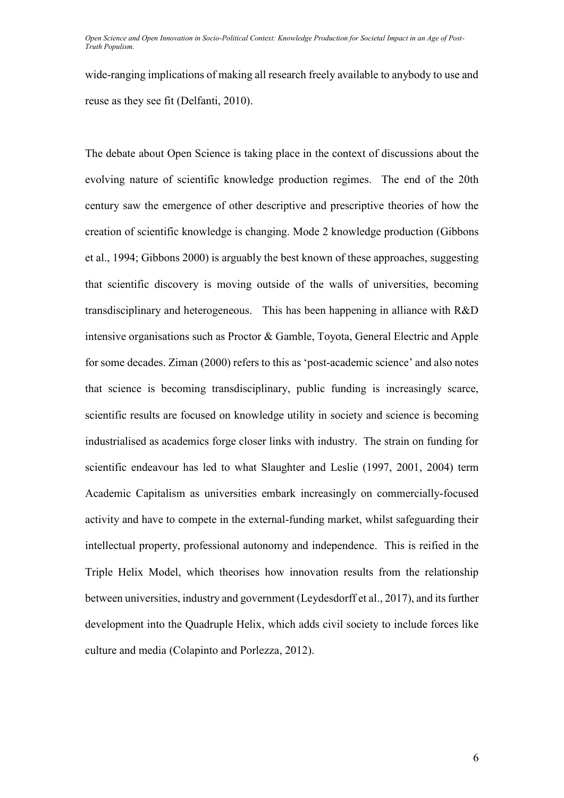wide-ranging implications of making all research freely available to anybody to use and reuse as they see fit (Delfanti, 2010).

The debate about Open Science is taking place in the context of discussions about the evolving nature of scientific knowledge production regimes. The end of the 20th century saw the emergence of other descriptive and prescriptive theories of how the creation of scientific knowledge is changing. Mode 2 knowledge production (Gibbons et al., 1994; Gibbons 2000) is arguably the best known of these approaches, suggesting that scientific discovery is moving outside of the walls of universities, becoming transdisciplinary and heterogeneous. This has been happening in alliance with R&D intensive organisations such as Proctor & Gamble, Toyota, General Electric and Apple for some decades. Ziman (2000) refers to this as 'post-academic science' and also notes that science is becoming transdisciplinary, public funding is increasingly scarce, scientific results are focused on knowledge utility in society and science is becoming industrialised as academics forge closer links with industry. The strain on funding for scientific endeavour has led to what Slaughter and Leslie (1997, 2001, 2004) term Academic Capitalism as universities embark increasingly on commercially-focused activity and have to compete in the external-funding market, whilst safeguarding their intellectual property, professional autonomy and independence. This is reified in the Triple Helix Model, which theorises how innovation results from the relationship between universities, industry and government (Leydesdorff et al., 2017), and its further development into the Quadruple Helix, which adds civil society to include forces like culture and media (Colapinto and Porlezza, 2012).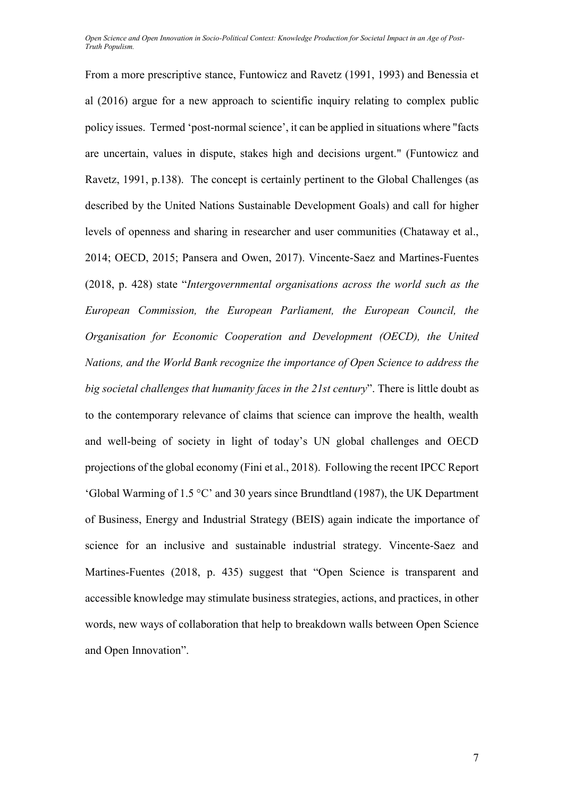From a more prescriptive stance, Funtowicz and Ravetz (1991, 1993) and Benessia et al (2016) argue for a new approach to scientific inquiry relating to complex public policy issues. Termed 'post-normal science', it can be applied in situations where "facts are uncertain, values in dispute, stakes high and decisions urgent." (Funtowicz and Ravetz, 1991, p.138). The concept is certainly pertinent to the Global Challenges (as described by the United Nations Sustainable Development Goals) and call for higher levels of openness and sharing in researcher and user communities (Chataway et al., 2014; OECD, 2015; Pansera and Owen, 2017). Vincente-Saez and Martines-Fuentes (2018, p. 428) state "*Intergovernmental organisations across the world such as the European Commission, the European Parliament, the European Council, the Organisation for Economic Cooperation and Development (OECD), the United Nations, and the World Bank recognize the importance of Open Science to address the big societal challenges that humanity faces in the 21st century*". There is little doubt as to the contemporary relevance of claims that science can improve the health, wealth and well-being of society in light of today's UN global challenges and OECD projections of the global economy (Fini et al., 2018). Following the recent IPCC Report 'Global Warming of 1.5 °C' and 30 years since Brundtland (1987), the UK Department of Business, Energy and Industrial Strategy (BEIS) again indicate the importance of science for an inclusive and sustainable industrial strategy. Vincente-Saez and Martines-Fuentes (2018, p. 435) suggest that "Open Science is transparent and accessible knowledge may stimulate business strategies, actions, and practices, in other words, new ways of collaboration that help to breakdown walls between Open Science and Open Innovation".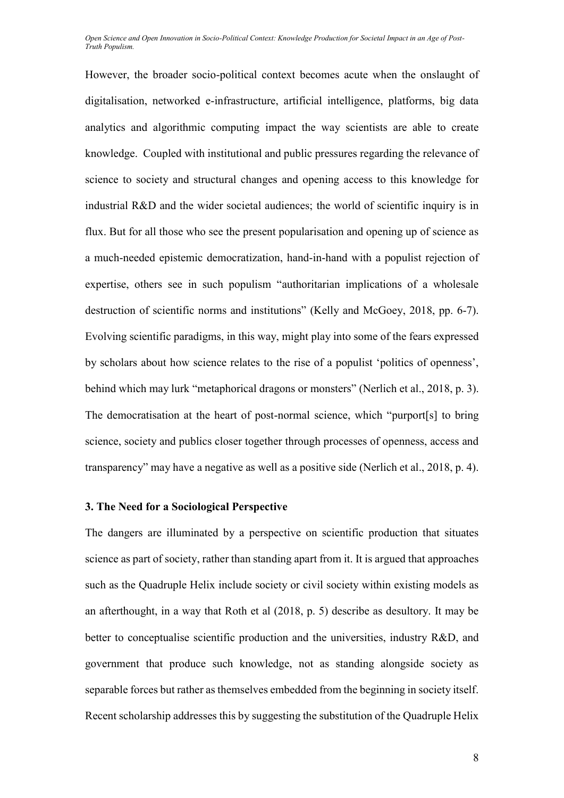However, the broader socio-political context becomes acute when the onslaught of digitalisation, networked e-infrastructure, artificial intelligence, platforms, big data analytics and algorithmic computing impact the way scientists are able to create knowledge. Coupled with institutional and public pressures regarding the relevance of science to society and structural changes and opening access to this knowledge for industrial R&D and the wider societal audiences; the world of scientific inquiry is in flux. But for all those who see the present popularisation and opening up of science as a much-needed epistemic democratization, hand-in-hand with a populist rejection of expertise, others see in such populism "authoritarian implications of a wholesale destruction of scientific norms and institutions" (Kelly and McGoey, 2018, pp. 6-7). Evolving scientific paradigms, in this way, might play into some of the fears expressed by scholars about how science relates to the rise of a populist 'politics of openness', behind which may lurk "metaphorical dragons or monsters" (Nerlich et al., 2018, p. 3). The democratisation at the heart of post-normal science, which "purport[s] to bring science, society and publics closer together through processes of openness, access and transparency" may have a negative as well as a positive side (Nerlich et al., 2018, p. 4).

#### **3. The Need for a Sociological Perspective**

The dangers are illuminated by a perspective on scientific production that situates science as part of society, rather than standing apart from it. It is argued that approaches such as the Quadruple Helix include society or civil society within existing models as an afterthought, in a way that Roth et al (2018, p. 5) describe as desultory. It may be better to conceptualise scientific production and the universities, industry R&D, and government that produce such knowledge, not as standing alongside society as separable forces but rather as themselves embedded from the beginning in society itself. Recent scholarship addresses this by suggesting the substitution of the Quadruple Helix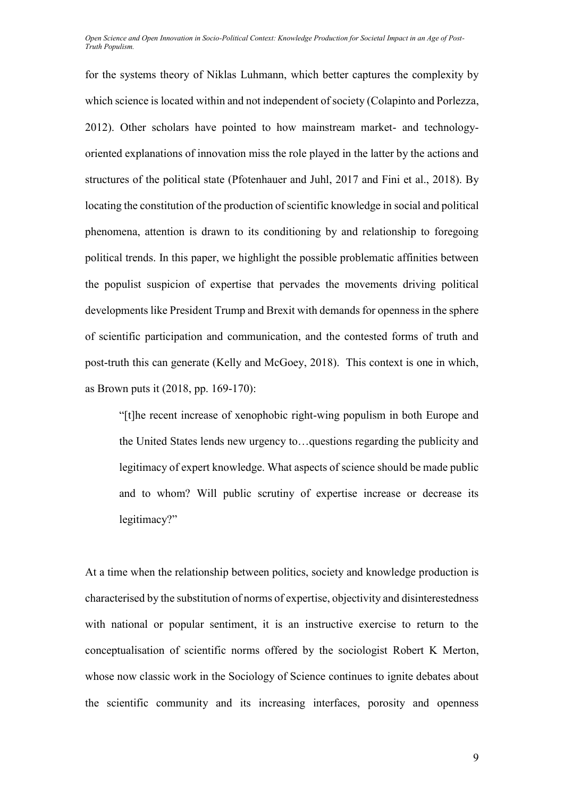for the systems theory of Niklas Luhmann, which better captures the complexity by which science is located within and not independent of society (Colapinto and Porlezza, 2012). Other scholars have pointed to how mainstream market- and technologyoriented explanations of innovation miss the role played in the latter by the actions and structures of the political state (Pfotenhauer and Juhl, 2017 and Fini et al., 2018). By locating the constitution of the production of scientific knowledge in social and political phenomena, attention is drawn to its conditioning by and relationship to foregoing political trends. In this paper, we highlight the possible problematic affinities between the populist suspicion of expertise that pervades the movements driving political developments like President Trump and Brexit with demands for openness in the sphere of scientific participation and communication, and the contested forms of truth and post-truth this can generate (Kelly and McGoey, 2018). This context is one in which, as Brown puts it (2018, pp. 169-170):

"[t]he recent increase of xenophobic right-wing populism in both Europe and the United States lends new urgency to…questions regarding the publicity and legitimacy of expert knowledge. What aspects of science should be made public and to whom? Will public scrutiny of expertise increase or decrease its legitimacy?"

At a time when the relationship between politics, society and knowledge production is characterised by the substitution of norms of expertise, objectivity and disinterestedness with national or popular sentiment, it is an instructive exercise to return to the conceptualisation of scientific norms offered by the sociologist Robert K Merton, whose now classic work in the Sociology of Science continues to ignite debates about the scientific community and its increasing interfaces, porosity and openness

9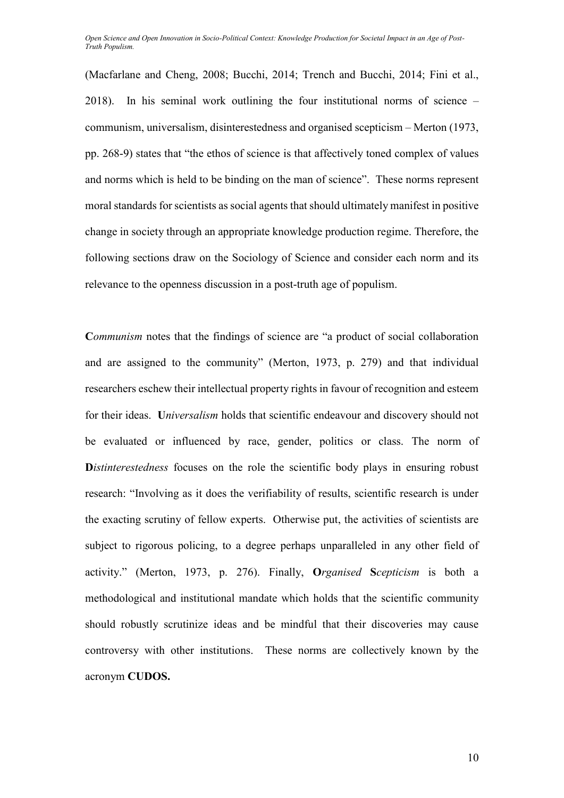(Macfarlane and Cheng, 2008; Bucchi, 2014; Trench and Bucchi, 2014; Fini et al., 2018). In his seminal work outlining the four institutional norms of science – communism, universalism, disinterestedness and organised scepticism – Merton (1973, pp. 268-9) states that "the ethos of science is that affectively toned complex of values and norms which is held to be binding on the man of science". These norms represent moral standards for scientists as social agents that should ultimately manifest in positive change in society through an appropriate knowledge production regime. Therefore, the following sections draw on the Sociology of Science and consider each norm and its relevance to the openness discussion in a post-truth age of populism.

Communism notes that the findings of science are "a product of social collaboration and are assigned to the community" (Merton, 1973, p. 279) and that individual researchers eschew their intellectual property rights in favour of recognition and esteem for their ideas. **U***niversalism* holds that scientific endeavour and discovery should not be evaluated or influenced by race, gender, politics or class. The norm of **D***istinterestedness* focuses on the role the scientific body plays in ensuring robust research: "Involving as it does the verifiability of results, scientific research is under the exacting scrutiny of fellow experts. Otherwise put, the activities of scientists are subject to rigorous policing, to a degree perhaps unparalleled in any other field of activity." (Merton, 1973, p. 276). Finally, **O***rganised* **S***cepticism* is both a methodological and institutional mandate which holds that the scientific community should robustly scrutinize ideas and be mindful that their discoveries may cause controversy with other institutions. These norms are collectively known by the acronym **CUDOS.**

10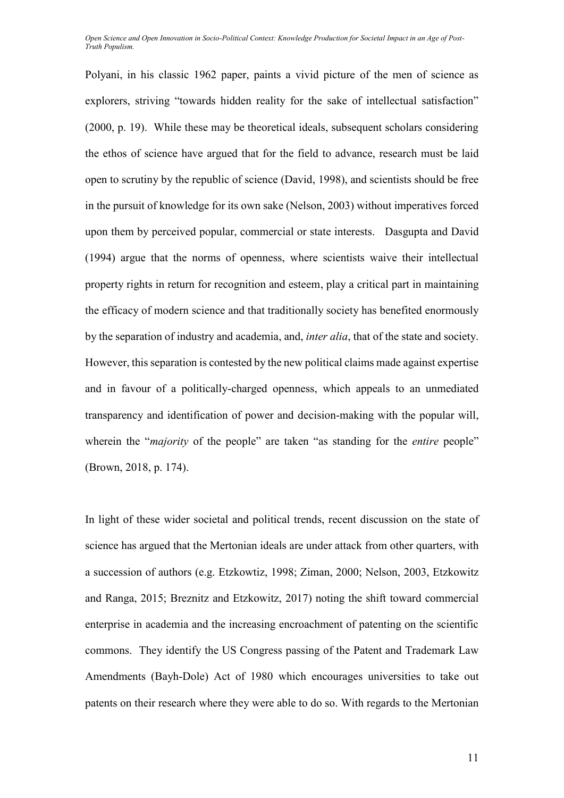Polyani, in his classic 1962 paper, paints a vivid picture of the men of science as explorers, striving "towards hidden reality for the sake of intellectual satisfaction" (2000, p. 19). While these may be theoretical ideals, subsequent scholars considering the ethos of science have argued that for the field to advance, research must be laid open to scrutiny by the republic of science (David, 1998), and scientists should be free in the pursuit of knowledge for its own sake (Nelson, 2003) without imperatives forced upon them by perceived popular, commercial or state interests. Dasgupta and David (1994) argue that the norms of openness, where scientists waive their intellectual property rights in return for recognition and esteem, play a critical part in maintaining the efficacy of modern science and that traditionally society has benefited enormously by the separation of industry and academia, and, *inter alia*, that of the state and society. However, this separation is contested by the new political claims made against expertise and in favour of a politically-charged openness, which appeals to an unmediated transparency and identification of power and decision-making with the popular will, wherein the "*majority* of the people" are taken "as standing for the *entire* people" (Brown, 2018, p. 174).

In light of these wider societal and political trends, recent discussion on the state of science has argued that the Mertonian ideals are under attack from other quarters, with a succession of authors (e.g. Etzkowtiz, 1998; Ziman, 2000; Nelson, 2003, Etzkowitz and Ranga, 2015; Breznitz and Etzkowitz, 2017) noting the shift toward commercial enterprise in academia and the increasing encroachment of patenting on the scientific commons. They identify the US Congress passing of the Patent and Trademark Law Amendments (Bayh-Dole) Act of 1980 which encourages universities to take out patents on their research where they were able to do so. With regards to the Mertonian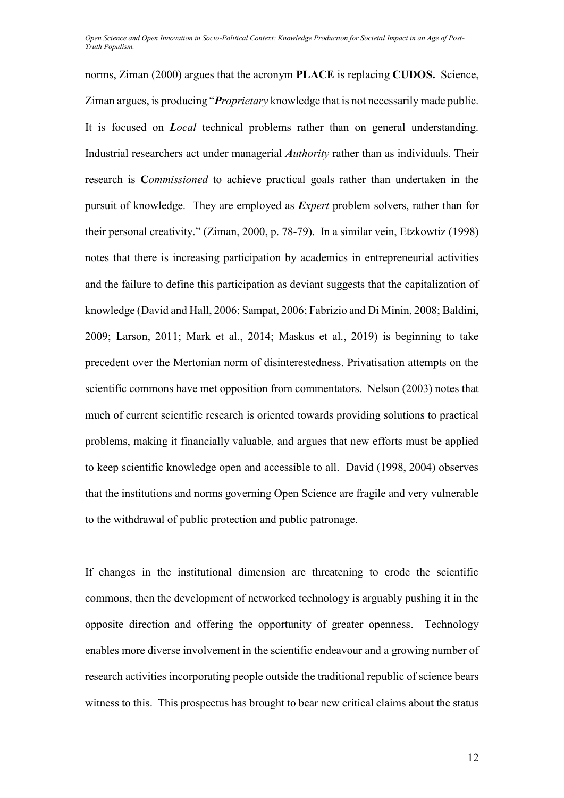norms, Ziman (2000) argues that the acronym **PLACE** is replacing **CUDOS.** Science, Ziman argues, is producing "*Proprietary* knowledge that is not necessarily made public. It is focused on *Local* technical problems rather than on general understanding. Industrial researchers act under managerial *Authority* rather than as individuals. Their research is **C***ommissioned* to achieve practical goals rather than undertaken in the pursuit of knowledge. They are employed as *Expert* problem solvers, rather than for their personal creativity." (Ziman, 2000, p. 78-79). In a similar vein, Etzkowtiz (1998) notes that there is increasing participation by academics in entrepreneurial activities and the failure to define this participation as deviant suggests that the capitalization of knowledge (David and Hall, 2006; Sampat, 2006; Fabrizio and Di Minin, 2008; Baldini, 2009; Larson, 2011; Mark et al., 2014; Maskus et al., 2019) is beginning to take precedent over the Mertonian norm of disinterestedness. Privatisation attempts on the scientific commons have met opposition from commentators. Nelson (2003) notes that much of current scientific research is oriented towards providing solutions to practical problems, making it financially valuable, and argues that new efforts must be applied to keep scientific knowledge open and accessible to all. David (1998, 2004) observes that the institutions and norms governing Open Science are fragile and very vulnerable to the withdrawal of public protection and public patronage.

If changes in the institutional dimension are threatening to erode the scientific commons, then the development of networked technology is arguably pushing it in the opposite direction and offering the opportunity of greater openness. Technology enables more diverse involvement in the scientific endeavour and a growing number of research activities incorporating people outside the traditional republic of science bears witness to this. This prospectus has brought to bear new critical claims about the status

12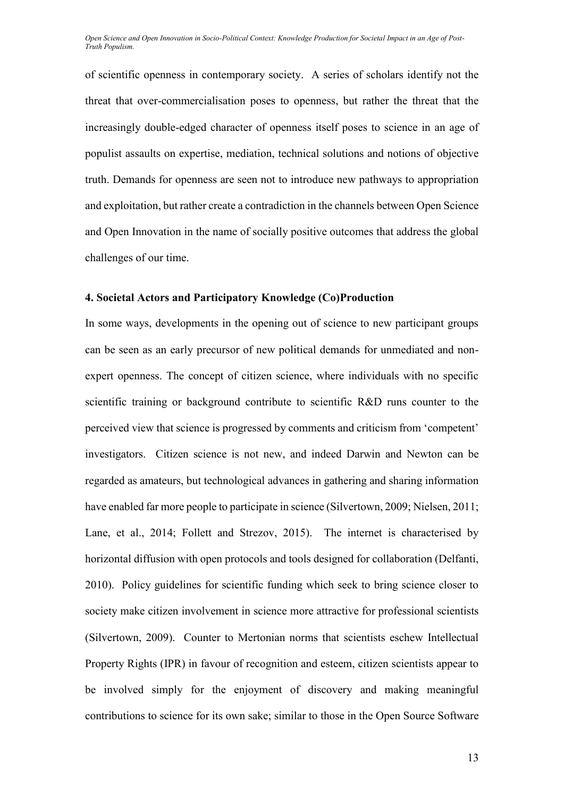of scientific openness in contemporary society. A series of scholars identify not the threat that over-commercialisation poses to openness, but rather the threat that the increasingly double-edged character of openness itself poses to science in an age of populist assaults on expertise, mediation, technical solutions and notions of objective truth. Demands for openness are seen not to introduce new pathways to appropriation and exploitation, but rather create a contradiction in the channels between Open Science and Open Innovation in the name of socially positive outcomes that address the global challenges of our time.

## **4. Societal Actors and Participatory Knowledge (Co)Production**

In some ways, developments in the opening out of science to new participant groups can be seen as an early precursor of new political demands for unmediated and nonexpert openness. The concept of citizen science, where individuals with no specific scientific training or background contribute to scientific R&D runs counter to the perceived view that science is progressed by comments and criticism from 'competent' investigators. Citizen science is not new, and indeed Darwin and Newton can be regarded as amateurs, but technological advances in gathering and sharing information have enabled far more people to participate in science (Silvertown, 2009; Nielsen, 2011; Lane, et al., 2014; Follett and Strezov, 2015). The internet is characterised by horizontal diffusion with open protocols and tools designed for collaboration (Delfanti, 2010). Policy guidelines for scientific funding which seek to bring science closer to society make citizen involvement in science more attractive for professional scientists (Silvertown, 2009). Counter to Mertonian norms that scientists eschew Intellectual Property Rights (IPR) in favour of recognition and esteem, citizen scientists appear to be involved simply for the enjoyment of discovery and making meaningful contributions to science for its own sake; similar to those in the Open Source Software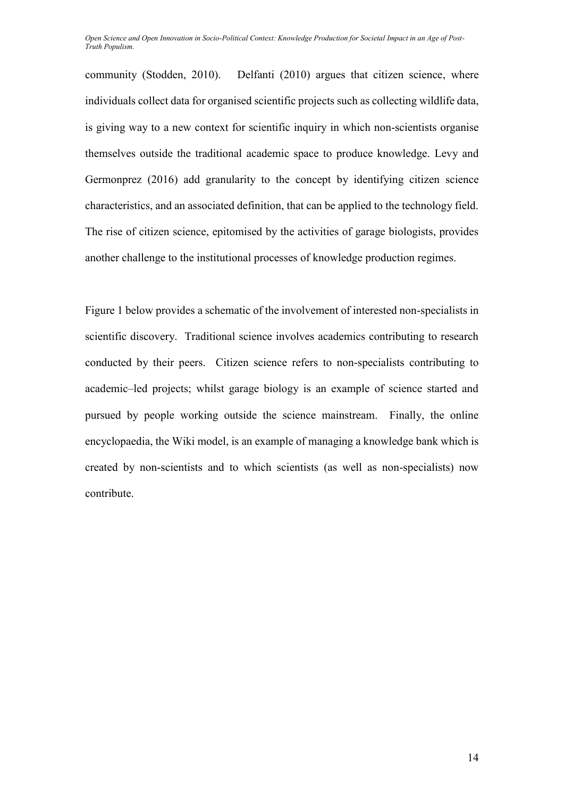community (Stodden, 2010). Delfanti (2010) argues that citizen science, where individuals collect data for organised scientific projects such as collecting wildlife data, is giving way to a new context for scientific inquiry in which non-scientists organise themselves outside the traditional academic space to produce knowledge. Levy and Germonprez (2016) add granularity to the concept by identifying citizen science characteristics, and an associated definition, that can be applied to the technology field. The rise of citizen science, epitomised by the activities of garage biologists, provides another challenge to the institutional processes of knowledge production regimes.

Figure 1 below provides a schematic of the involvement of interested non-specialists in scientific discovery. Traditional science involves academics contributing to research conducted by their peers. Citizen science refers to non-specialists contributing to academic–led projects; whilst garage biology is an example of science started and pursued by people working outside the science mainstream. Finally, the online encyclopaedia, the Wiki model, is an example of managing a knowledge bank which is created by non-scientists and to which scientists (as well as non-specialists) now contribute.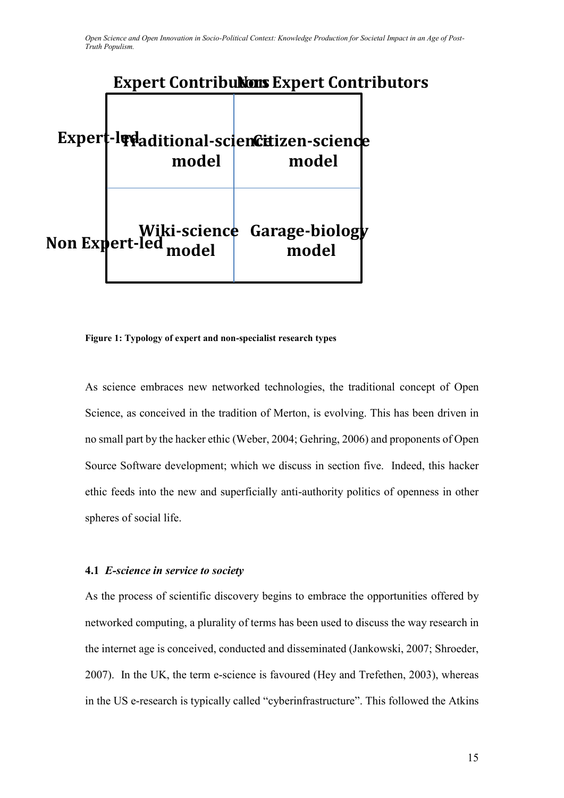# **Expert Contributors Expert Contributors**

| model | Expert-ledaditional-sciencitizen-science<br>model |  |
|-------|---------------------------------------------------|--|
|       | <b>Non Expert-led model Expert-led model</b>      |  |

#### **Figure 1: Typology of expert and non-specialist research types**

As science embraces new networked technologies, the traditional concept of Open Science, as conceived in the tradition of Merton, is evolving. This has been driven in no small part by the hacker ethic (Weber, 2004; Gehring, 2006) and proponents of Open Source Software development; which we discuss in section five. Indeed, this hacker ethic feeds into the new and superficially anti-authority politics of openness in other spheres of social life.

## **4.1** *E-science in service to society*

As the process of scientific discovery begins to embrace the opportunities offered by networked computing, a plurality of terms has been used to discuss the way research in the internet age is conceived, conducted and disseminated (Jankowski, 2007; Shroeder, 2007). In the UK, the term e-science is favoured (Hey and Trefethen, 2003), whereas in the US e-research is typically called "cyberinfrastructure". This followed the Atkins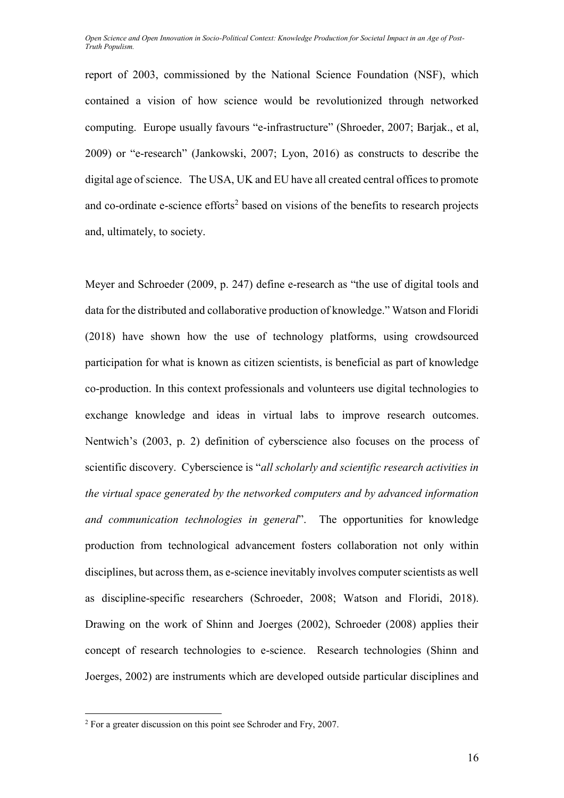report of 2003, commissioned by the National Science Foundation (NSF), which contained a vision of how science would be revolutionized through networked computing. Europe usually favours "e-infrastructure" (Shroeder, 2007; Barjak., et al, 2009) or "e-research" (Jankowski, 2007; Lyon, 2016) as constructs to describe the digital age of science. The USA, UK and EU have all created central offices to promote and co-ordinate e-science efforts<sup>2</sup> based on visions of the benefits to research projects and, ultimately, to society.

Meyer and Schroeder (2009, p. 247) define e-research as "the use of digital tools and data for the distributed and collaborative production of knowledge." Watson and Floridi (2018) have shown how the use of technology platforms, using crowdsourced participation for what is known as citizen scientists, is beneficial as part of knowledge co-production. In this context professionals and volunteers use digital technologies to exchange knowledge and ideas in virtual labs to improve research outcomes. Nentwich's (2003, p. 2) definition of cyberscience also focuses on the process of scientific discovery. Cyberscience is "*all scholarly and scientific research activities in the virtual space generated by the networked computers and by advanced information and communication technologies in general*". The opportunities for knowledge production from technological advancement fosters collaboration not only within disciplines, but across them, as e-science inevitably involves computer scientists as well as discipline-specific researchers (Schroeder, 2008; Watson and Floridi, 2018). Drawing on the work of Shinn and Joerges (2002), Schroeder (2008) applies their concept of research technologies to e-science. Research technologies (Shinn and Joerges, 2002) are instruments which are developed outside particular disciplines and

 $\overline{a}$ 

 $2$  For a greater discussion on this point see Schroder and Fry, 2007.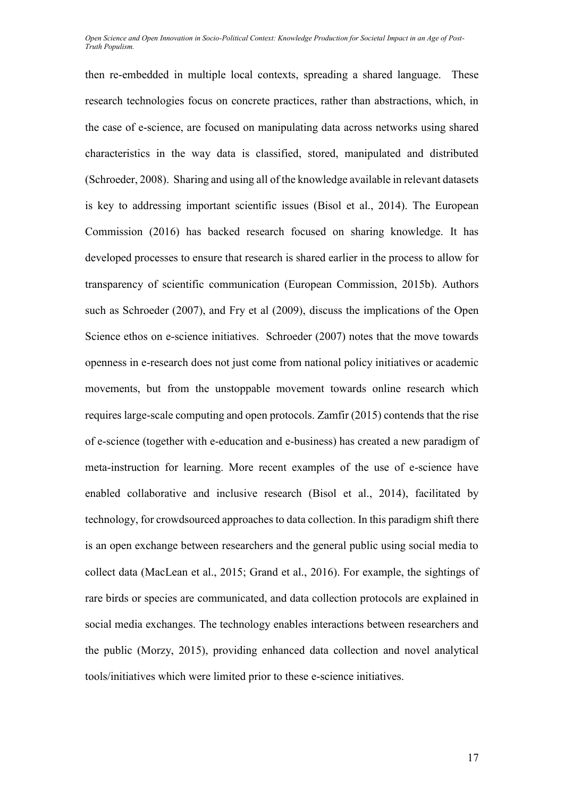then re-embedded in multiple local contexts, spreading a shared language. These research technologies focus on concrete practices, rather than abstractions, which, in the case of e-science, are focused on manipulating data across networks using shared characteristics in the way data is classified, stored, manipulated and distributed (Schroeder, 2008). Sharing and using all of the knowledge available in relevant datasets is key to addressing important scientific issues (Bisol et al., 2014). The European Commission (2016) has backed research focused on sharing knowledge. It has developed processes to ensure that research is shared earlier in the process to allow for transparency of scientific communication (European Commission, 2015b). Authors such as Schroeder (2007), and Fry et al (2009), discuss the implications of the Open Science ethos on e-science initiatives. Schroeder (2007) notes that the move towards openness in e-research does not just come from national policy initiatives or academic movements, but from the unstoppable movement towards online research which requires large-scale computing and open protocols. Zamfir (2015) contends that the rise of e-science (together with e-education and e-business) has created a new paradigm of meta-instruction for learning. More recent examples of the use of e-science have enabled collaborative and inclusive research (Bisol et al., 2014), facilitated by technology, for crowdsourced approaches to data collection. In this paradigm shift there is an open exchange between researchers and the general public using social media to collect data (MacLean et al., 2015; Grand et al., 2016). For example, the sightings of rare birds or species are communicated, and data collection protocols are explained in social media exchanges. The technology enables interactions between researchers and the public (Morzy, 2015), providing enhanced data collection and novel analytical tools/initiatives which were limited prior to these e-science initiatives.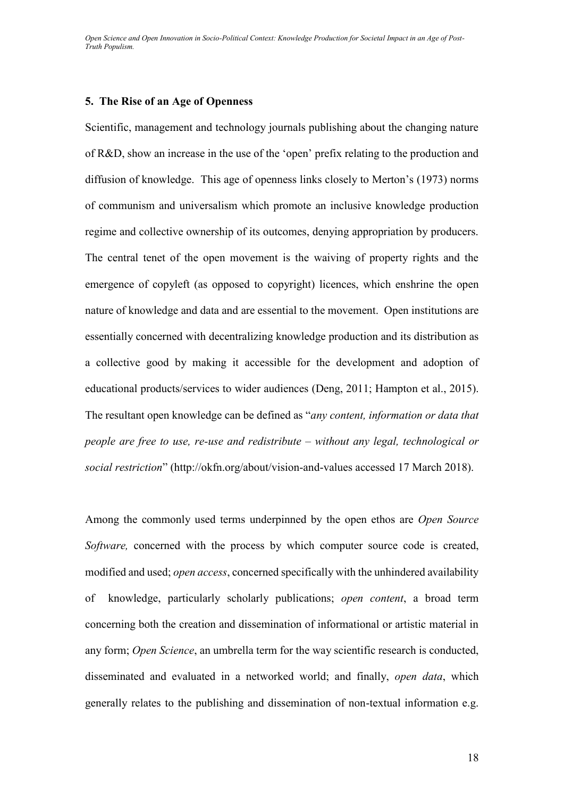#### **5. The Rise of an Age of Openness**

Scientific, management and technology journals publishing about the changing nature of R&D, show an increase in the use of the 'open' prefix relating to the production and diffusion of knowledge. This age of openness links closely to Merton's (1973) norms of communism and universalism which promote an inclusive knowledge production regime and collective ownership of its outcomes, denying appropriation by producers. The central tenet of the open movement is the waiving of property rights and the emergence of copyleft (as opposed to copyright) licences, which enshrine the open nature of knowledge and data and are essential to the movement. Open institutions are essentially concerned with decentralizing knowledge production and its distribution as a collective good by making it accessible for the development and adoption of educational products/services to wider audiences (Deng, 2011; Hampton et al., 2015). The resultant open knowledge can be defined as "*any content, information or data that people are free to use, re-use and redistribute – without any legal, technological or social restriction*" (http://okfn.org/about/vision-and-values accessed 17 March 2018).

Among the commonly used terms underpinned by the open ethos are *Open Source Software,* concerned with the process by which computer source code is created, modified and used; *open access*, concerned specifically with the unhindered availability of knowledge, particularly scholarly publications; *open content*, a broad term concerning both the creation and dissemination of informational or artistic material in any form; *Open Science*, an umbrella term for the way scientific research is conducted, disseminated and evaluated in a networked world; and finally, *open data*, which generally relates to the publishing and dissemination of non-textual information e.g.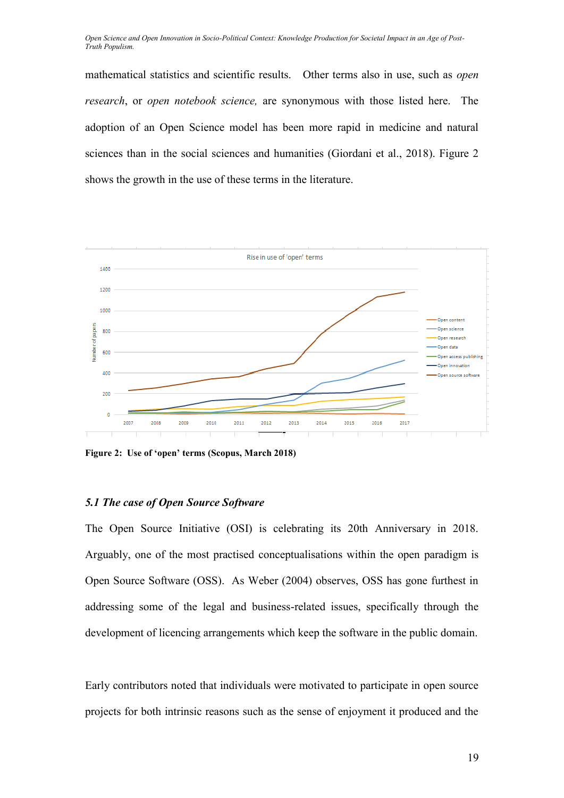mathematical statistics and scientific results. Other terms also in use, such as *open research*, or *open notebook science,* are synonymous with those listed here. The adoption of an Open Science model has been more rapid in medicine and natural sciences than in the social sciences and humanities (Giordani et al., 2018). Figure 2 shows the growth in the use of these terms in the literature.



**Figure 2: Use of 'open' terms (Scopus, March 2018)**

## *5.1 The case of Open Source Software*

The Open Source Initiative (OSI) is celebrating its 20th Anniversary in 2018. Arguably, one of the most practised conceptualisations within the open paradigm is Open Source Software (OSS). As Weber (2004) observes, OSS has gone furthest in addressing some of the legal and business-related issues, specifically through the development of licencing arrangements which keep the software in the public domain.

Early contributors noted that individuals were motivated to participate in open source projects for both intrinsic reasons such as the sense of enjoyment it produced and the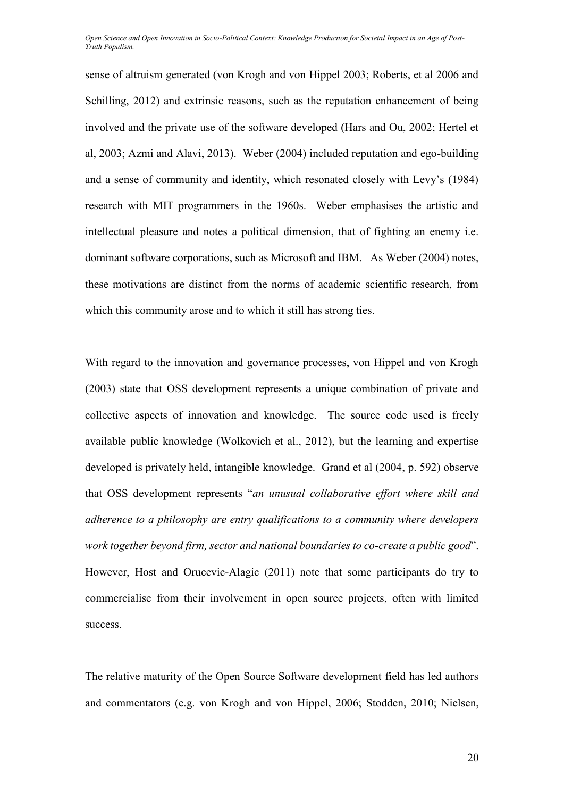sense of altruism generated (von Krogh and von Hippel 2003; Roberts, et al 2006 and Schilling, 2012) and extrinsic reasons, such as the reputation enhancement of being involved and the private use of the software developed (Hars and Ou, 2002; Hertel et al, 2003; Azmi and Alavi, 2013). Weber (2004) included reputation and ego-building and a sense of community and identity, which resonated closely with Levy's (1984) research with MIT programmers in the 1960s. Weber emphasises the artistic and intellectual pleasure and notes a political dimension, that of fighting an enemy i.e. dominant software corporations, such as Microsoft and IBM. As Weber (2004) notes, these motivations are distinct from the norms of academic scientific research, from which this community arose and to which it still has strong ties.

With regard to the innovation and governance processes, von Hippel and von Krogh (2003) state that OSS development represents a unique combination of private and collective aspects of innovation and knowledge. The source code used is freely available public knowledge (Wolkovich et al., 2012), but the learning and expertise developed is privately held, intangible knowledge. Grand et al (2004, p. 592) observe that OSS development represents "*an unusual collaborative effort where skill and adherence to a philosophy are entry qualifications to a community where developers work together beyond firm, sector and national boundaries to co-create a public good*". However, Host and Orucevic-Alagic (2011) note that some participants do try to commercialise from their involvement in open source projects, often with limited success.

The relative maturity of the Open Source Software development field has led authors and commentators (e.g. von Krogh and von Hippel, 2006; Stodden, 2010; Nielsen,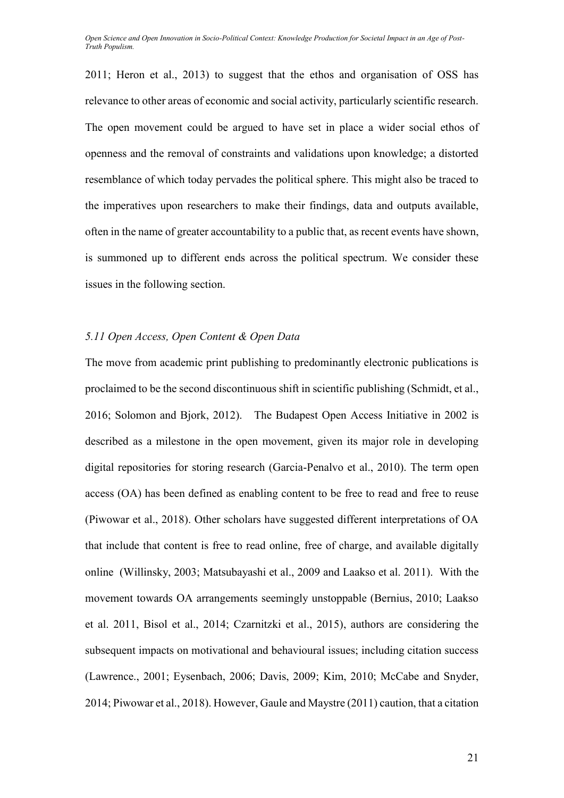2011; Heron et al., 2013) to suggest that the ethos and organisation of OSS has relevance to other areas of economic and social activity, particularly scientific research. The open movement could be argued to have set in place a wider social ethos of openness and the removal of constraints and validations upon knowledge; a distorted resemblance of which today pervades the political sphere. This might also be traced to the imperatives upon researchers to make their findings, data and outputs available, often in the name of greater accountability to a public that, as recent events have shown, is summoned up to different ends across the political spectrum. We consider these issues in the following section.

## *5.11 Open Access, Open Content & Open Data*

The move from academic print publishing to predominantly electronic publications is proclaimed to be the second discontinuous shift in scientific publishing (Schmidt, et al., 2016; Solomon and Bjork, 2012). The Budapest Open Access Initiative in 2002 is described as a milestone in the open movement, given its major role in developing digital repositories for storing research (Garcia-Penalvo et al., 2010). The term open access (OA) has been defined as enabling content to be free to read and free to reuse (Piwowar et al., 2018). Other scholars have suggested different interpretations of OA that include that content is free to read online, free of charge, and available digitally online [\(Willinsky, 2003;](https://scholar.google.com/scholar_lookup?title=The%20nine%20flavours%20of%20open%20access%20scholarly%20publishing&author=Willinsky&publication_year=2003) [Matsubayashi et al., 2009](https://scholar.google.com/scholar_lookup?title=Status%20of%20open%20access%20in%20the%20biomedical%20field%20in%202005&author=Matsubayashi&publication_year=2009) and Laakso et al. 2011). With the movement towards OA arrangements seemingly unstoppable (Bernius, 2010; Laakso et al. 2011, Bisol et al., 2014; Czarnitzki et al., 2015), authors are considering the subsequent impacts on motivational and behavioural issues; including citation success (Lawrence., 2001; Eysenbach, 2006; Davis, 2009; Kim, 2010; McCabe and Snyder, 2014; Piwowar et al., 2018). However, Gaule and Maystre (2011) caution, that a citation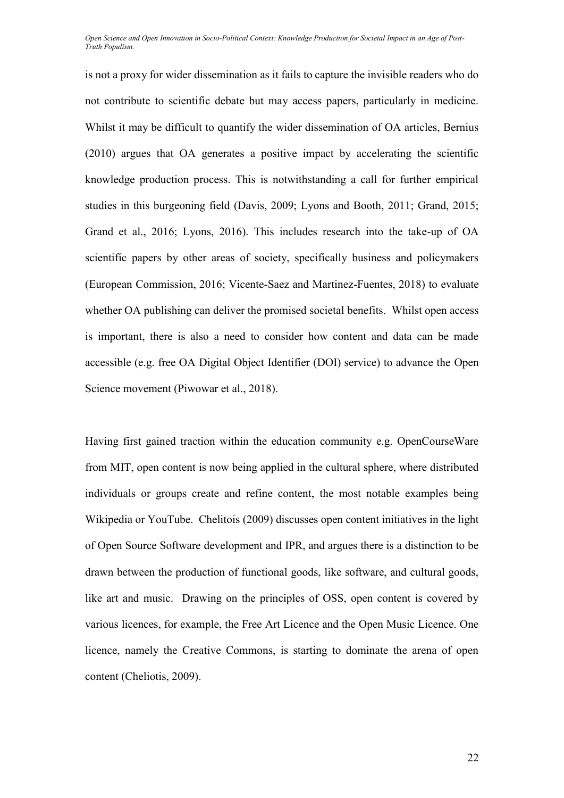is not a proxy for wider dissemination as it fails to capture the invisible readers who do not contribute to scientific debate but may access papers, particularly in medicine. Whilst it may be difficult to quantify the wider dissemination of OA articles, Bernius (2010) argues that OA generates a positive impact by accelerating the scientific knowledge production process. This is notwithstanding a call for further empirical studies in this burgeoning field (Davis, 2009; Lyons and Booth, 2011; Grand, 2015; Grand et al., 2016; Lyons, 2016). This includes research into the take-up of OA scientific papers by other areas of society, specifically business and policymakers (European Commission, 2016; Vicente-Saez and Martinez-Fuentes, 2018) to evaluate whether OA publishing can deliver the promised societal benefits. Whilst open access is important, there is also a need to consider how content and data can be made accessible (e.g. free OA Digital Object Identifier (DOI) service) to advance the Open Science movement (Piwowar et al., 2018).

Having first gained traction within the education community e.g. OpenCourseWare from MIT, open content is now being applied in the cultural sphere, where distributed individuals or groups create and refine content, the most notable examples being Wikipedia or YouTube. Chelitois (2009) discusses open content initiatives in the light of Open Source Software development and IPR, and argues there is a distinction to be drawn between the production of functional goods, like software, and cultural goods, like art and music. Drawing on the principles of OSS, open content is covered by various licences, for example, the Free Art Licence and the Open Music Licence. One licence, namely the Creative Commons, is starting to dominate the arena of open content (Cheliotis, 2009).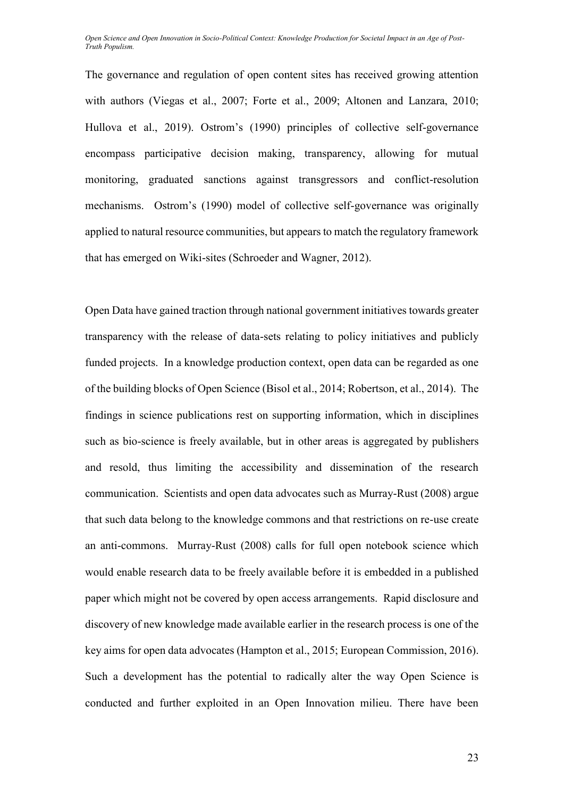The governance and regulation of open content sites has received growing attention with authors (Viegas et al., 2007; Forte et al., 2009; Altonen and Lanzara, 2010; Hullova et al., 2019). Ostrom's (1990) principles of collective self-governance encompass participative decision making, transparency, allowing for mutual monitoring, graduated sanctions against transgressors and conflict-resolution mechanisms. Ostrom's (1990) model of collective self-governance was originally applied to natural resource communities, but appears to match the regulatory framework that has emerged on Wiki-sites (Schroeder and Wagner, 2012).

Open Data have gained traction through national government initiatives towards greater transparency with the release of data-sets relating to policy initiatives and publicly funded projects. In a knowledge production context, open data can be regarded as one of the building blocks of Open Science (Bisol et al., 2014; Robertson, et al., 2014). The findings in science publications rest on supporting information, which in disciplines such as bio-science is freely available, but in other areas is aggregated by publishers and resold, thus limiting the accessibility and dissemination of the research communication. Scientists and open data advocates such as Murray-Rust (2008) argue that such data belong to the knowledge commons and that restrictions on re-use create an anti-commons. Murray-Rust (2008) calls for full open notebook science which would enable research data to be freely available before it is embedded in a published paper which might not be covered by open access arrangements. Rapid disclosure and discovery of new knowledge made available earlier in the research process is one of the key aims for open data advocates (Hampton et al., 2015; European Commission, 2016). Such a development has the potential to radically alter the way Open Science is conducted and further exploited in an Open Innovation milieu. There have been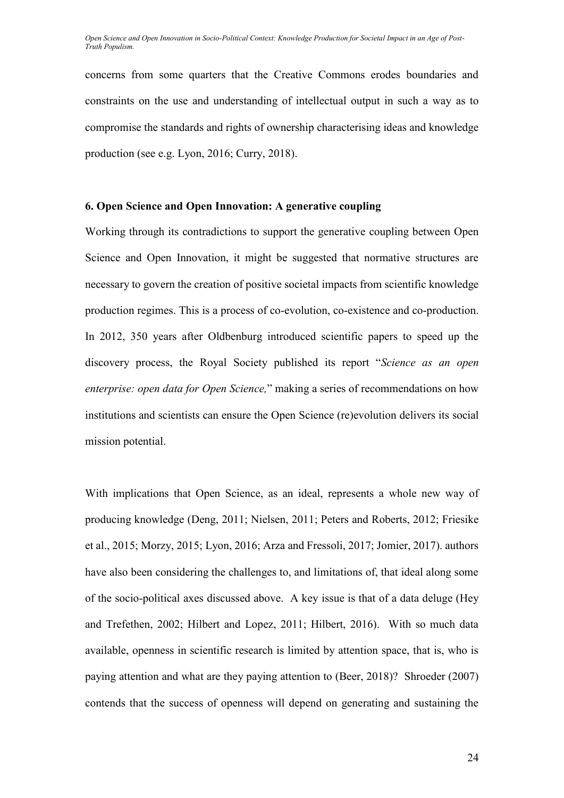concerns from some quarters that the Creative Commons erodes boundaries and constraints on the use and understanding of intellectual output in such a way as to compromise the standards and rights of ownership characterising ideas and knowledge production (see e.g. Lyon, 2016; Curry, 2018).

## **6. Open Science and Open Innovation: A generative coupling**

Working through its contradictions to support the generative coupling between Open Science and Open Innovation, it might be suggested that normative structures are necessary to govern the creation of positive societal impacts from scientific knowledge production regimes. This is a process of co-evolution, co-existence and co-production. In 2012, 350 years after Oldbenburg introduced scientific papers to speed up the discovery process, the Royal Society published its report "*Science as an open enterprise: open data for Open Science,*" making a series of recommendations on how institutions and scientists can ensure the Open Science (re)evolution delivers its social mission potential.

With implications that Open Science, as an ideal, represents a whole new way of producing knowledge (Deng, 2011; Nielsen, 2011; Peters and Roberts, 2012; Friesike et al., 2015; Morzy, 2015; Lyon, 2016; Arza and Fressoli, 2017; Jomier, 2017). authors have also been considering the challenges to, and limitations of, that ideal along some of the socio-political axes discussed above. A key issue is that of a data deluge (Hey and Trefethen, 2002; Hilbert and Lopez, 2011; Hilbert, 2016). With so much data available, openness in scientific research is limited by attention space, that is, who is paying attention and what are they paying attention to (Beer, 2018)? Shroeder (2007) contends that the success of openness will depend on generating and sustaining the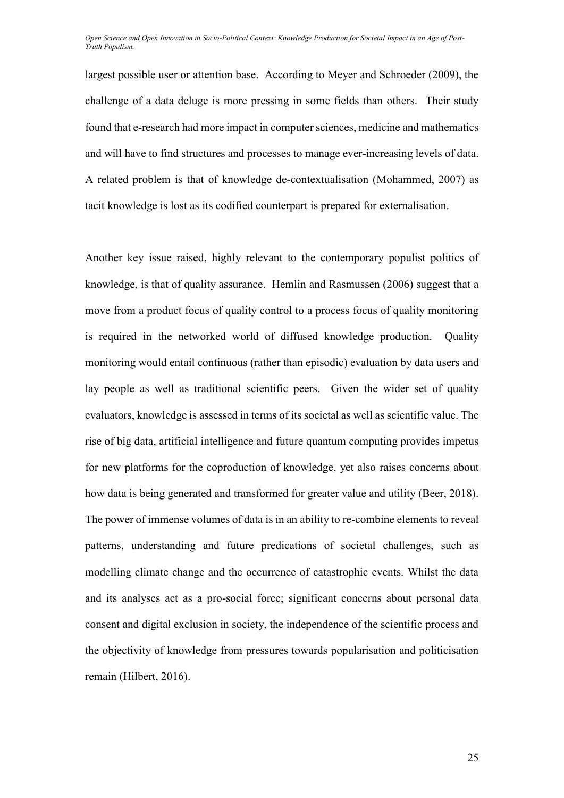largest possible user or attention base. According to Meyer and Schroeder (2009), the challenge of a data deluge is more pressing in some fields than others. Their study found that e-research had more impact in computer sciences, medicine and mathematics and will have to find structures and processes to manage ever-increasing levels of data. A related problem is that of knowledge de-contextualisation (Mohammed, 2007) as tacit knowledge is lost as its codified counterpart is prepared for externalisation.

Another key issue raised, highly relevant to the contemporary populist politics of knowledge, is that of quality assurance. Hemlin and Rasmussen (2006) suggest that a move from a product focus of quality control to a process focus of quality monitoring is required in the networked world of diffused knowledge production. Quality monitoring would entail continuous (rather than episodic) evaluation by data users and lay people as well as traditional scientific peers. Given the wider set of quality evaluators, knowledge is assessed in terms of its societal as well as scientific value. The rise of big data, artificial intelligence and future quantum computing provides impetus for new platforms for the coproduction of knowledge, yet also raises concerns about how data is being generated and transformed for greater value and utility (Beer, 2018). The power of immense volumes of data is in an ability to re-combine elements to reveal patterns, understanding and future predications of societal challenges, such as modelling climate change and the occurrence of catastrophic events. Whilst the data and its analyses act as a pro-social force; significant concerns about personal data consent and digital exclusion in society, the independence of the scientific process and the objectivity of knowledge from pressures towards popularisation and politicisation remain (Hilbert, 2016).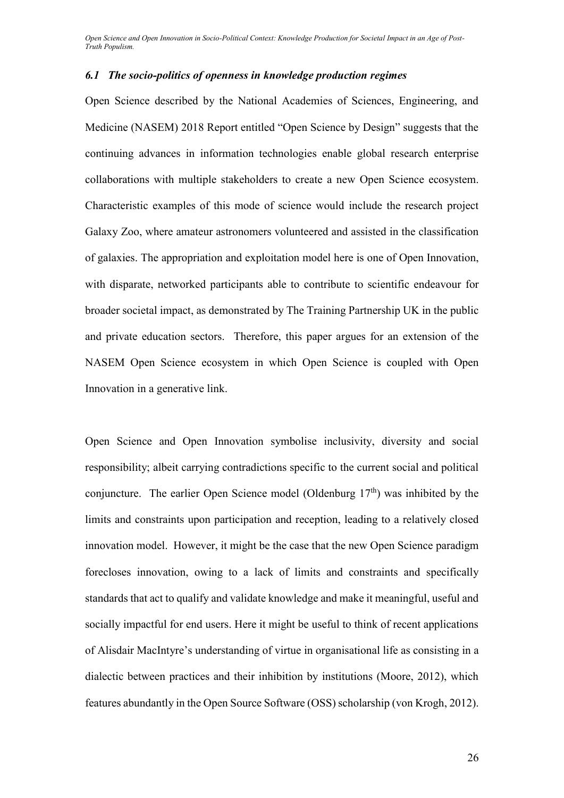## *6.1 The socio-politics of openness in knowledge production regimes*

Open Science described by the National Academies of Sciences, Engineering, and Medicine (NASEM) 2018 Report entitled "Open Science by Design" suggests that the continuing advances in information technologies enable global research enterprise collaborations with multiple stakeholders to create a new Open Science ecosystem. Characteristic examples of this mode of science would include the research project Galaxy Zoo, where amateur astronomers volunteered and assisted in the classification of galaxies. The appropriation and exploitation model here is one of Open Innovation, with disparate, networked participants able to contribute to scientific endeavour for broader societal impact, as demonstrated by The Training Partnership UK in the public and private education sectors. Therefore, this paper argues for an extension of the NASEM Open Science ecosystem in which Open Science is coupled with Open Innovation in a generative link.

Open Science and Open Innovation symbolise inclusivity, diversity and social responsibility; albeit carrying contradictions specific to the current social and political conjuncture. The earlier Open Science model (Oldenburg  $17<sup>th</sup>$ ) was inhibited by the limits and constraints upon participation and reception, leading to a relatively closed innovation model. However, it might be the case that the new Open Science paradigm forecloses innovation, owing to a lack of limits and constraints and specifically standards that act to qualify and validate knowledge and make it meaningful, useful and socially impactful for end users. Here it might be useful to think of recent applications of Alisdair MacIntyre's understanding of virtue in organisational life as consisting in a dialectic between practices and their inhibition by institutions (Moore, 2012), which features abundantly in the Open Source Software (OSS) scholarship (von Krogh, 2012).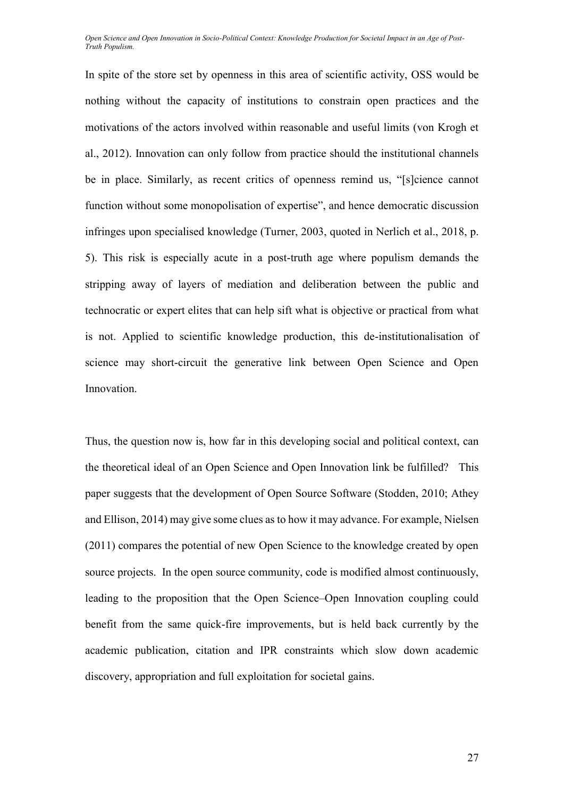In spite of the store set by openness in this area of scientific activity, OSS would be nothing without the capacity of institutions to constrain open practices and the motivations of the actors involved within reasonable and useful limits (von Krogh et al., 2012). Innovation can only follow from practice should the institutional channels be in place. Similarly, as recent critics of openness remind us, "[s]cience cannot function without some monopolisation of expertise", and hence democratic discussion infringes upon specialised knowledge (Turner, 2003, quoted in Nerlich et al., 2018, p. 5). This risk is especially acute in a post-truth age where populism demands the stripping away of layers of mediation and deliberation between the public and technocratic or expert elites that can help sift what is objective or practical from what is not. Applied to scientific knowledge production, this de-institutionalisation of science may short-circuit the generative link between Open Science and Open Innovation.

Thus, the question now is, how far in this developing social and political context, can the theoretical ideal of an Open Science and Open Innovation link be fulfilled? This paper suggests that the development of Open Source Software (Stodden, 2010; Athey and Ellison, 2014) may give some clues as to how it may advance. For example, Nielsen (2011) compares the potential of new Open Science to the knowledge created by open source projects. In the open source community, code is modified almost continuously, leading to the proposition that the Open Science–Open Innovation coupling could benefit from the same quick-fire improvements, but is held back currently by the academic publication, citation and IPR constraints which slow down academic discovery, appropriation and full exploitation for societal gains.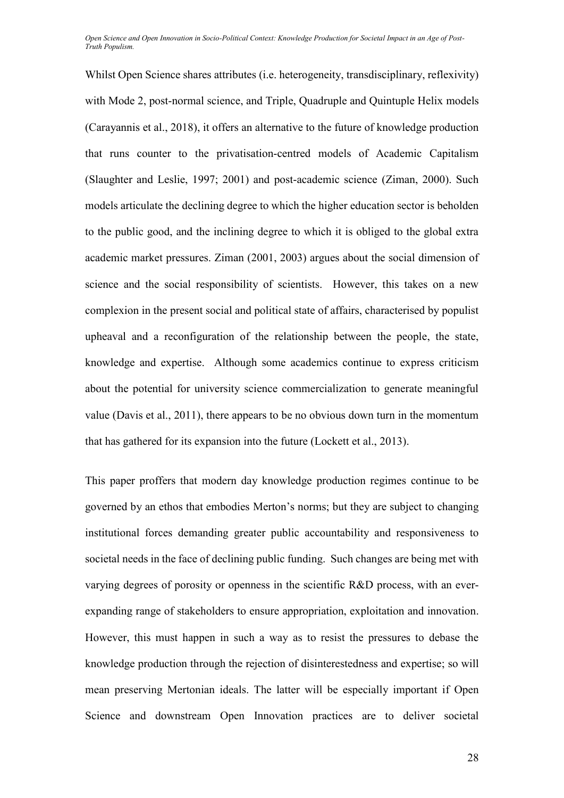Whilst Open Science shares attributes (i.e. heterogeneity, transdisciplinary, reflexivity) with Mode 2, post-normal science, and Triple, Quadruple and Quintuple Helix models (Carayannis et al., 2018), it offers an alternative to the future of knowledge production that runs counter to the privatisation-centred models of Academic Capitalism (Slaughter and Leslie, 1997; 2001) and post-academic science (Ziman, 2000). Such models articulate the declining degree to which the higher education sector is beholden to the public good, and the inclining degree to which it is obliged to the global extra academic market pressures. Ziman (2001, 2003) argues about the social dimension of science and the social responsibility of scientists. However, this takes on a new complexion in the present social and political state of affairs, characterised by populist upheaval and a reconfiguration of the relationship between the people, the state, knowledge and expertise. Although some academics continue to express criticism about the potential for university science commercialization to generate meaningful value (Davis et al., 2011), there appears to be no obvious down turn in the momentum that has gathered for its expansion into the future (Lockett et al., 2013).

This paper proffers that modern day knowledge production regimes continue to be governed by an ethos that embodies Merton's norms; but they are subject to changing institutional forces demanding greater public accountability and responsiveness to societal needs in the face of declining public funding. Such changes are being met with varying degrees of porosity or openness in the scientific R&D process, with an everexpanding range of stakeholders to ensure appropriation, exploitation and innovation. However, this must happen in such a way as to resist the pressures to debase the knowledge production through the rejection of disinterestedness and expertise; so will mean preserving Mertonian ideals. The latter will be especially important if Open Science and downstream Open Innovation practices are to deliver societal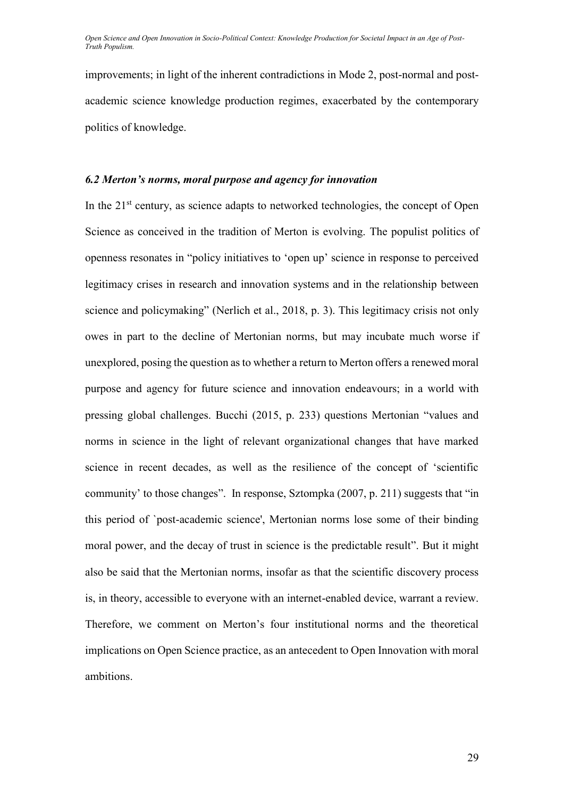improvements; in light of the inherent contradictions in Mode 2, post-normal and postacademic science knowledge production regimes, exacerbated by the contemporary politics of knowledge.

#### *6.2 Merton's norms, moral purpose and agency for innovation*

In the  $21<sup>st</sup>$  century, as science adapts to networked technologies, the concept of Open Science as conceived in the tradition of Merton is evolving. The populist politics of openness resonates in "policy initiatives to 'open up' science in response to perceived legitimacy crises in research and innovation systems and in the relationship between science and policymaking" (Nerlich et al., 2018, p. 3). This legitimacy crisis not only owes in part to the decline of Mertonian norms, but may incubate much worse if unexplored, posing the question as to whether a return to Merton offers a renewed moral purpose and agency for future science and innovation endeavours; in a world with pressing global challenges. Bucchi (2015, p. 233) questions Mertonian "values and norms in science in the light of relevant organizational changes that have marked science in recent decades, as well as the resilience of the concept of 'scientific community' to those changes". In response, Sztompka (2007, p. 211) suggests that "in this period of `post-academic science', Mertonian norms lose some of their binding moral power, and the decay of trust in science is the predictable result". But it might also be said that the Mertonian norms, insofar as that the scientific discovery process is, in theory, accessible to everyone with an internet-enabled device, warrant a review. Therefore, we comment on Merton's four institutional norms and the theoretical implications on Open Science practice, as an antecedent to Open Innovation with moral ambitions.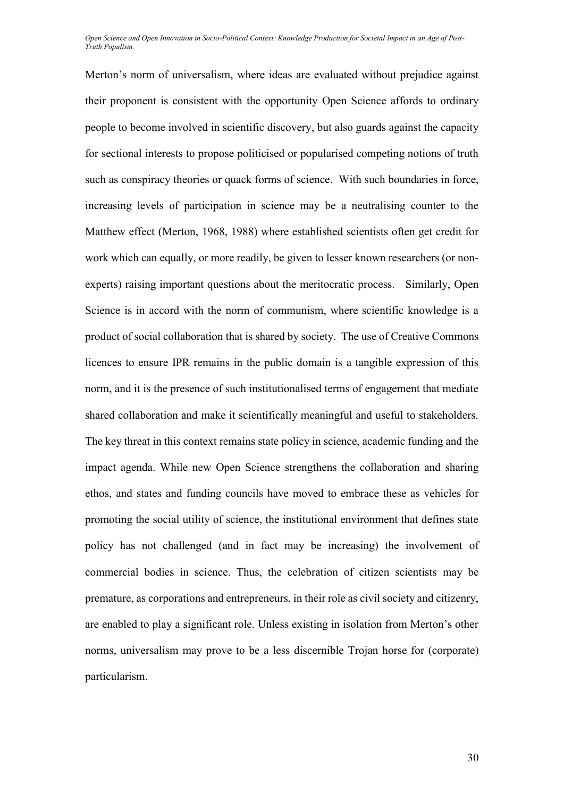Merton's norm of universalism, where ideas are evaluated without prejudice against their proponent is consistent with the opportunity Open Science affords to ordinary people to become involved in scientific discovery, but also guards against the capacity for sectional interests to propose politicised or popularised competing notions of truth such as conspiracy theories or quack forms of science. With such boundaries in force, increasing levels of participation in science may be a neutralising counter to the Matthew effect (Merton, 1968, 1988) where established scientists often get credit for work which can equally, or more readily, be given to lesser known researchers (or nonexperts) raising important questions about the meritocratic process. Similarly, Open Science is in accord with the norm of communism, where scientific knowledge is a product of social collaboration that is shared by society. The use of Creative Commons licences to ensure IPR remains in the public domain is a tangible expression of this norm, and it is the presence of such institutionalised terms of engagement that mediate shared collaboration and make it scientifically meaningful and useful to stakeholders. The key threat in this context remains state policy in science, academic funding and the impact agenda. While new Open Science strengthens the collaboration and sharing ethos, and states and funding councils have moved to embrace these as vehicles for promoting the social utility of science, the institutional environment that defines state policy has not challenged (and in fact may be increasing) the involvement of commercial bodies in science. Thus, the celebration of citizen scientists may be premature, as corporations and entrepreneurs, in their role as civil society and citizenry, are enabled to play a significant role. Unless existing in isolation from Merton's other norms, universalism may prove to be a less discernible Trojan horse for (corporate) particularism.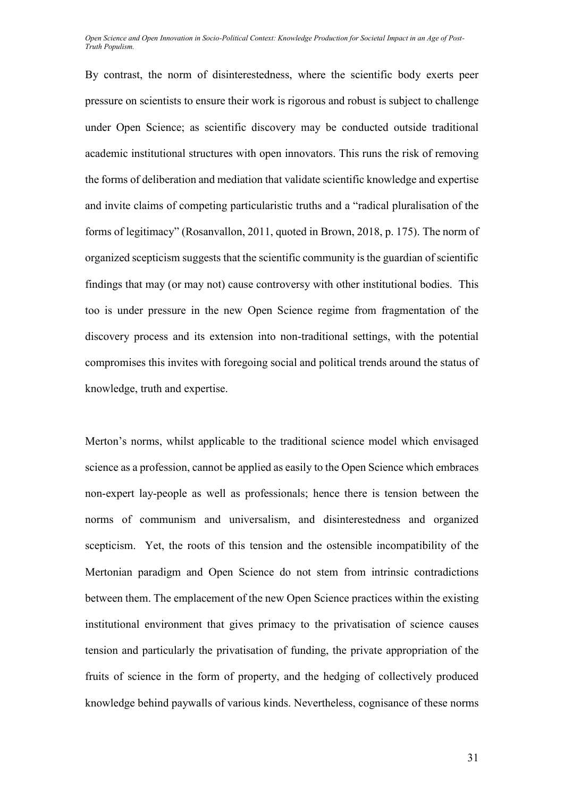By contrast, the norm of disinterestedness, where the scientific body exerts peer pressure on scientists to ensure their work is rigorous and robust is subject to challenge under Open Science; as scientific discovery may be conducted outside traditional academic institutional structures with open innovators. This runs the risk of removing the forms of deliberation and mediation that validate scientific knowledge and expertise and invite claims of competing particularistic truths and a "radical pluralisation of the forms of legitimacy" (Rosanvallon, 2011, quoted in Brown, 2018, p. 175). The norm of organized scepticism suggests that the scientific community is the guardian of scientific findings that may (or may not) cause controversy with other institutional bodies. This too is under pressure in the new Open Science regime from fragmentation of the discovery process and its extension into non-traditional settings, with the potential compromises this invites with foregoing social and political trends around the status of knowledge, truth and expertise.

Merton's norms, whilst applicable to the traditional science model which envisaged science as a profession, cannot be applied as easily to the Open Science which embraces non-expert lay-people as well as professionals; hence there is tension between the norms of communism and universalism, and disinterestedness and organized scepticism. Yet, the roots of this tension and the ostensible incompatibility of the Mertonian paradigm and Open Science do not stem from intrinsic contradictions between them. The emplacement of the new Open Science practices within the existing institutional environment that gives primacy to the privatisation of science causes tension and particularly the privatisation of funding, the private appropriation of the fruits of science in the form of property, and the hedging of collectively produced knowledge behind paywalls of various kinds. Nevertheless, cognisance of these norms

31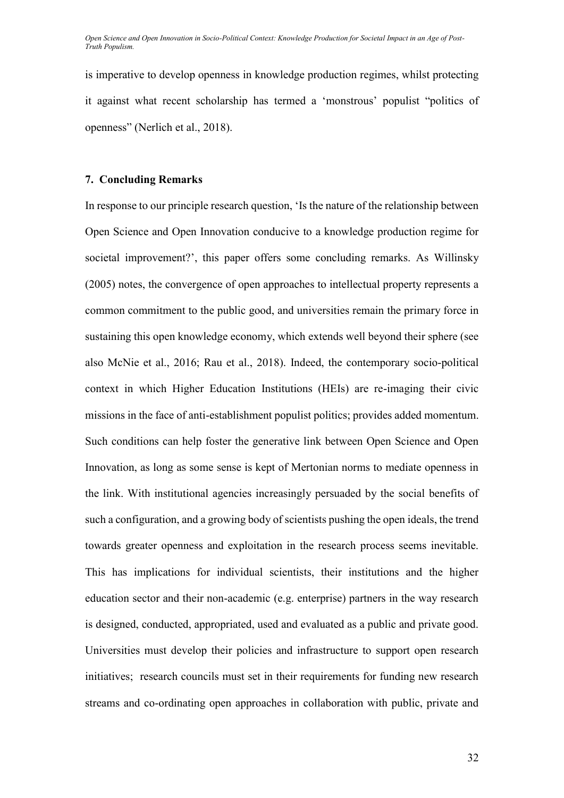is imperative to develop openness in knowledge production regimes, whilst protecting it against what recent scholarship has termed a 'monstrous' populist "politics of openness" (Nerlich et al., 2018).

#### **7. Concluding Remarks**

In response to our principle research question, 'Is the nature of the relationship between Open Science and Open Innovation conducive to a knowledge production regime for societal improvement?', this paper offers some concluding remarks. As Willinsky (2005) notes, the convergence of open approaches to intellectual property represents a common commitment to the public good, and universities remain the primary force in sustaining this open knowledge economy, which extends well beyond their sphere (see also McNie et al., 2016; Rau et al., 2018). Indeed, the contemporary socio-political context in which Higher Education Institutions (HEIs) are re-imaging their civic missions in the face of anti-establishment populist politics; provides added momentum. Such conditions can help foster the generative link between Open Science and Open Innovation, as long as some sense is kept of Mertonian norms to mediate openness in the link. With institutional agencies increasingly persuaded by the social benefits of such a configuration, and a growing body of scientists pushing the open ideals, the trend towards greater openness and exploitation in the research process seems inevitable. This has implications for individual scientists, their institutions and the higher education sector and their non-academic (e.g. enterprise) partners in the way research is designed, conducted, appropriated, used and evaluated as a public and private good. Universities must develop their policies and infrastructure to support open research initiatives; research councils must set in their requirements for funding new research streams and co-ordinating open approaches in collaboration with public, private and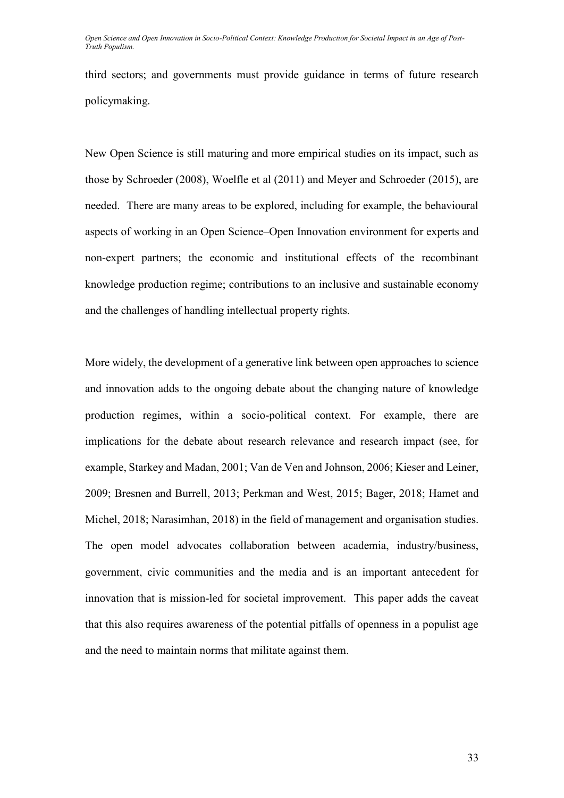third sectors; and governments must provide guidance in terms of future research policymaking.

New Open Science is still maturing and more empirical studies on its impact, such as those by Schroeder (2008), Woelfle et al (2011) and Meyer and Schroeder (2015), are needed. There are many areas to be explored, including for example, the behavioural aspects of working in an Open Science–Open Innovation environment for experts and non-expert partners; the economic and institutional effects of the recombinant knowledge production regime; contributions to an inclusive and sustainable economy and the challenges of handling intellectual property rights.

More widely, the development of a generative link between open approaches to science and innovation adds to the ongoing debate about the changing nature of knowledge production regimes, within a socio-political context. For example, there are implications for the debate about research relevance and research impact (see, for example, Starkey and Madan, 2001; Van de Ven and Johnson, 2006; Kieser and Leiner, 2009; Bresnen and Burrell, 2013; Perkman and West, 2015; Bager, 2018; Hamet and Michel, 2018; Narasimhan, 2018) in the field of management and organisation studies. The open model advocates collaboration between academia, industry/business, government, civic communities and the media and is an important antecedent for innovation that is mission-led for societal improvement. This paper adds the caveat that this also requires awareness of the potential pitfalls of openness in a populist age and the need to maintain norms that militate against them.

33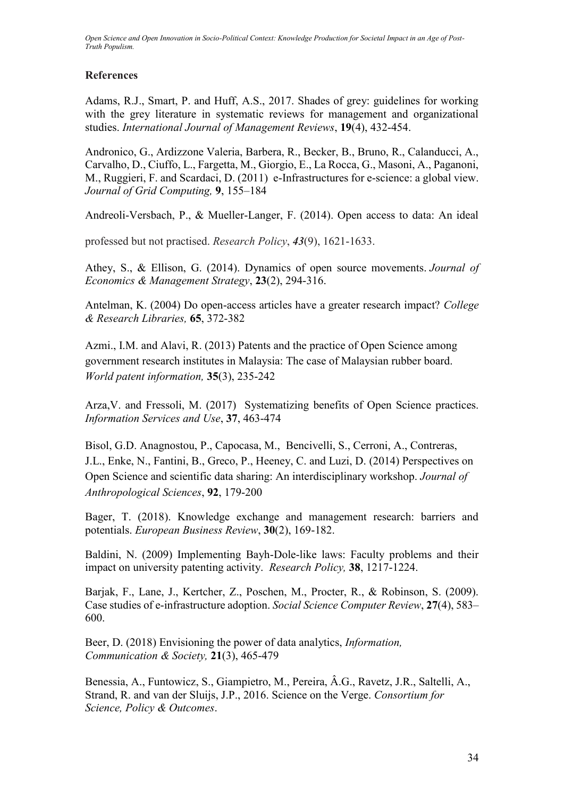## **References**

Adams, R.J., Smart, P. and Huff, A.S., 2017. Shades of grey: guidelines for working with the grey literature in systematic reviews for management and organizational studies. *International Journal of Management Reviews*, **19**(4), 432-454.

Andronico, G., Ardizzone Valeria, Barbera, R., Becker, B., Bruno, R., Calanducci, A., Carvalho, D., Ciuffo, L., Fargetta, M., Giorgio, E., La Rocca, G., Masoni, A., Paganoni, M., Ruggieri, F. and Scardaci, D. (2011) e-Infrastructures for e-science: a global view. *Journal of Grid Computing,* **9**, 155–184

Andreoli-Versbach, P., & Mueller-Langer, F. (2014). Open access to data: An ideal

professed but not practised. *Research Policy*, *43*(9), 1621-1633.

Athey, S., & Ellison, G. (2014). Dynamics of open source movements. *Journal of Economics & Management Strategy*, **23**(2), 294-316.

Antelman, K. (2004) Do open-access articles have a greater research impact? *College & Research Libraries,* **65**, 372-382

[Azmi., I.M. and Alavi, R. \(2013\)](https://www.sciencedirect.com/science/article/pii/S0148296317305441#bbb0020) Patents and the practice of Open Science among government research institutes in Malaysia: The case of Malaysian rubber board. *World patent information,* **35**(3), 235-242

Arza,V. and Fressoli, M. (2017) Systematizing benefits of Open Science practices. *Information Services and Use*, **37**, 463-474

Bisol, G.D. Anagnostou, P., Capocasa, M., Bencivelli, S., Cerroni, A., Contreras, J.L., Enke, N., Fantini, B., Greco, P., Heeney, C. and Luzi, D. (2014) Perspectives on Open Science and scientific data sharing: An interdisciplinary workshop. *Journal of Anthropological Sciences*, **92**, 179-200

Bager, T. (2018). Knowledge exchange and management research: barriers and potentials. *European Business Review*, **30**(2), 169-182.

Baldini, N. (2009) Implementing Bayh-Dole-like laws: Faculty problems and their impact on university patenting activity. *Research Policy,* **38**, 1217-1224.

Barjak, F., Lane, J., Kertcher, Z., Poschen, M., Procter, R., & Robinson, S. (2009). Case studies of e-infrastructure adoption. *Social Science Computer Review*, **27**(4), 583– 600.

Beer, D. (2018) Envisioning the power of data analytics, *Information, Communication & Society,* **21**(3), 465-479

Benessia, A., Funtowicz, S., Giampietro, M., Pereira, Â.G., Ravetz, J.R., Saltelli, A., Strand, R. and van der Sluijs, J.P., 2016. Science on the Verge. *Consortium for Science, Policy & Outcomes*.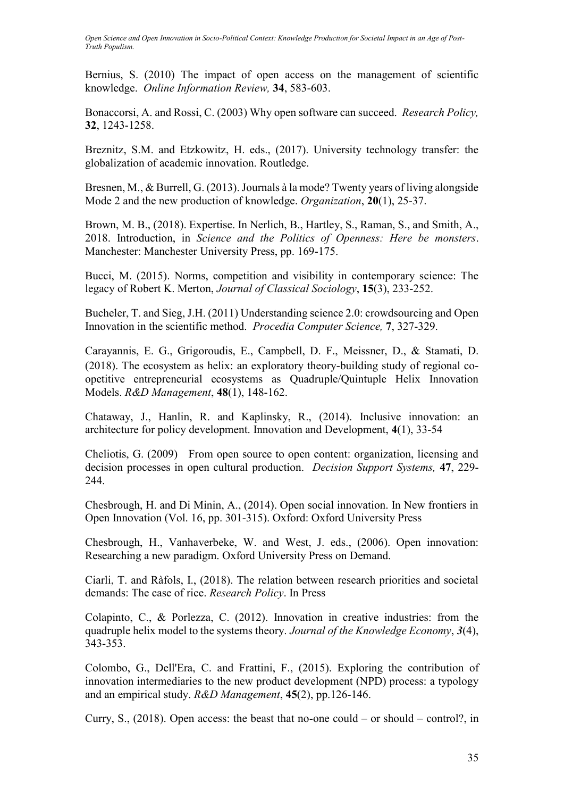Bernius, S. (2010) The impact of open access on the management of scientific knowledge. *Online Information Review,* **34**, 583-603.

Bonaccorsi, A. and Rossi, C. (2003) Why open software can succeed. *Research Policy,* **32**, 1243-1258.

Breznitz, S.M. and Etzkowitz, H. eds., (2017). University technology transfer: the globalization of academic innovation. Routledge.

Bresnen, M., & Burrell, G. (2013). Journals à la mode? Twenty years of living alongside Mode 2 and the new production of knowledge. *Organization*, **20**(1), 25-37.

Brown, M. B., (2018). Expertise. In Nerlich, B., Hartley, S., Raman, S., and Smith, A., 2018. Introduction, in *Science and the Politics of Openness: Here be monsters*. Manchester: Manchester University Press, pp. 169-175.

Bucci, M. (2015). Norms, competition and visibility in contemporary science: The legacy of Robert K. Merton, *Journal of Classical Sociology*, **15**(3), 233-252.

Bucheler, T. and Sieg, J.H. (2011) Understanding science 2.0: crowdsourcing and Open Innovation in the scientific method. *Procedia Computer Science,* **7**, 327-329.

Carayannis, E. G., Grigoroudis, E., Campbell, D. F., Meissner, D., & Stamati, D. (2018). The ecosystem as helix: an exploratory theory‐building study of regional co‐ opetitive entrepreneurial ecosystems as Quadruple/Quintuple Helix Innovation Models. *R&D Management*, **48**(1), 148-162.

Chataway, J., Hanlin, R. and Kaplinsky, R., (2014). Inclusive innovation: an architecture for policy development. Innovation and Development, **4**(1), 33-54

Cheliotis, G. (2009) From open source to open content: organization, licensing and decision processes in open cultural production. *Decision Support Systems,* **47**, 229- 244.

Chesbrough, H. and Di Minin, A., (2014). Open social innovation. In New frontiers in Open Innovation (Vol. 16, pp. 301-315). Oxford: Oxford University Press

Chesbrough, H., Vanhaverbeke, W. and West, J. eds., (2006). Open innovation: Researching a new paradigm. Oxford University Press on Demand.

Ciarli, T. and Ràfols, I., (2018). The relation between research priorities and societal demands: The case of rice. *Research Policy*. In Press

Colapinto, C., & Porlezza, C. (2012). Innovation in creative industries: from the quadruple helix model to the systems theory. *Journal of the Knowledge Economy*, *3*(4), 343-353.

Colombo, G., Dell'Era, C. and Frattini, F., (2015). Exploring the contribution of innovation intermediaries to the new product development (NPD) process: a typology and an empirical study. *R&D Management*, **45**(2), pp.126-146.

Curry, S., (2018). Open access: the beast that no-one could – or should – control?, in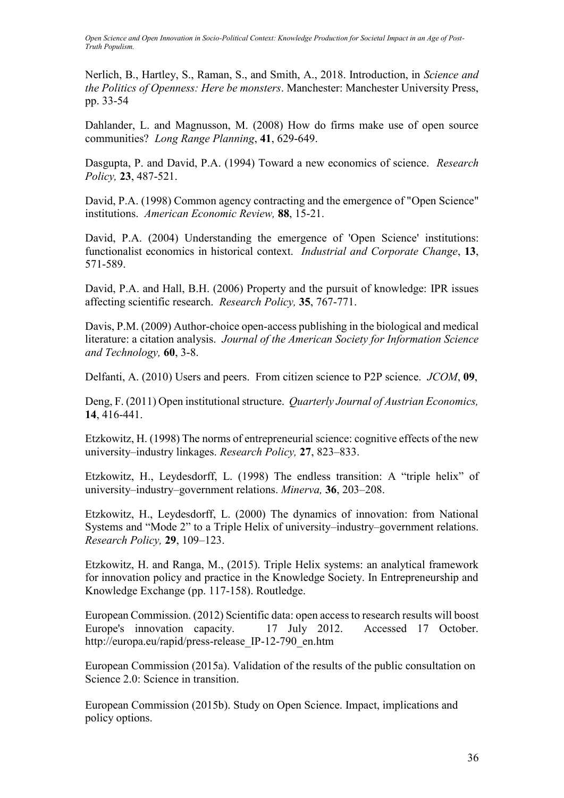Nerlich, B., Hartley, S., Raman, S., and Smith, A., 2018. Introduction, in *Science and the Politics of Openness: Here be monsters*. Manchester: Manchester University Press, pp. 33-54

Dahlander, L. and Magnusson, M. (2008) How do firms make use of open source communities? *Long Range Planning*, **41**, 629-649.

Dasgupta, P. and David, P.A. (1994) Toward a new economics of science. *Research Policy,* **23**, 487-521.

David, P.A. (1998) Common agency contracting and the emergence of "Open Science" institutions. *American Economic Review,* **88**, 15-21.

David, P.A. (2004) Understanding the emergence of 'Open Science' institutions: functionalist economics in historical context. *Industrial and Corporate Change*, **13**, 571-589.

David, P.A. and Hall, B.H. (2006) Property and the pursuit of knowledge: IPR issues affecting scientific research. *Research Policy,* **35**, 767-771.

Davis, P.M. (2009) Author-choice open-access publishing in the biological and medical literature: a citation analysis. *Journal of the American Society for Information Science and Technology,* **60**, 3-8.

Delfanti, A. (2010) Users and peers. From citizen science to P2P science. *JCOM*, **09**,

Deng, F. (2011) Open institutional structure. *Quarterly Journal of Austrian Economics,* **14**, 416-441.

Etzkowitz, H. (1998) The norms of entrepreneurial science: cognitive effects of the new university–industry linkages. *Research Policy,* **27**, 823–833.

Etzkowitz, H., Leydesdorff, L. (1998) The endless transition: A "triple helix" of university–industry–government relations. *Minerva,* **36**, 203–208.

Etzkowitz, H., Leydesdorff, L. (2000) The dynamics of innovation: from National Systems and "Mode 2" to a Triple Helix of university–industry–government relations. *Research Policy,* **29**, 109–123.

Etzkowitz, H. and Ranga, M., (2015). Triple Helix systems: an analytical framework for innovation policy and practice in the Knowledge Society. In Entrepreneurship and Knowledge Exchange (pp. 117-158). Routledge.

European Commission. (2012) Scientific data: open access to research results will boost Europe's innovation capacity. 17 July 2012. Accessed 17 October. [http://europa.eu/rapid/press-release\\_IP-12-790\\_en.htm](http://europa.eu/rapid/press-release_IP-12-790_en.htm) 

European Commission (2015a). Validation of the results of the public consultation on Science 2.0: Science in transition.

European Commission (2015b). Study on Open Science. Impact, implications and policy options.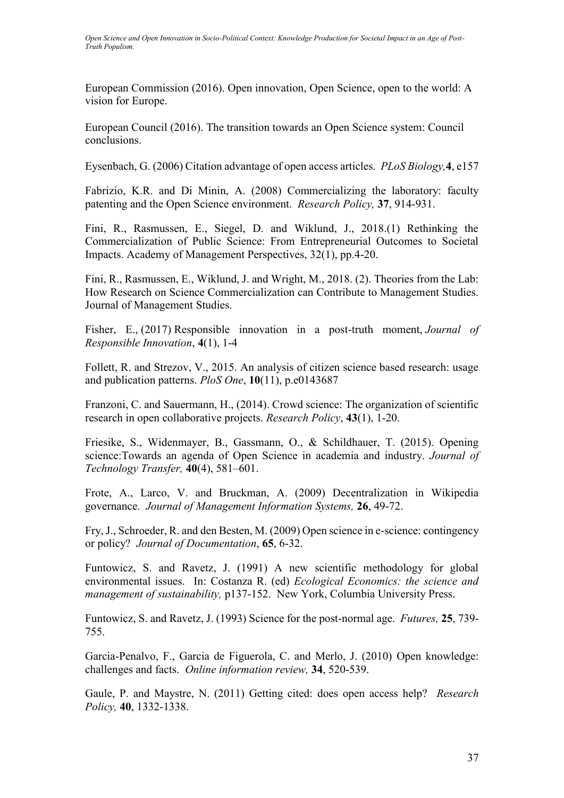European Commission (2016). Open innovation, Open Science, open to the world: A vision for Europe.

European Council (2016). The transition towards an Open Science system: Council conclusions.

Eysenbach, G. (2006) Citation advantage of open access articles. *PLoS Biology,***4**, e157

Fabrizio, K.R. and Di Minin, A. (2008) Commercializing the laboratory: faculty patenting and the Open Science environment. *Research Policy,* **37**, 914-931.

Fini, R., Rasmussen, E., Siegel, D. and Wiklund, J., 2018.(1) Rethinking the Commercialization of Public Science: From Entrepreneurial Outcomes to Societal Impacts. Academy of Management Perspectives, 32(1), pp.4-20.

Fini, R., Rasmussen, E., Wiklund, J. and Wright, M., 2018. (2). Theories from the Lab: How Research on Science Commercialization can Contribute to Management Studies. Journal of Management Studies.

Fisher, E., (2017) Responsible innovation in a post-truth moment, *Journal of Responsible Innovation*, **4**(1), 1-4

Follett, R. and Strezov, V., 2015. An analysis of citizen science based research: usage and publication patterns. *PloS One*, **10**(11), p.e0143687

Franzoni, C. and Sauermann, H., (2014). Crowd science: The organization of scientific research in open collaborative projects. *Research Policy*, **43**(1), 1-20.

Friesike, S., Widenmayer, B., Gassmann, O., & Schildhauer, T. (2015). Opening science:Towards an agenda of Open Science in academia and industry. *Journal of Technology Transfer,* **40**(4), 581–601.

Frote, A., Larco, V. and Bruckman, A. (2009) Decentralization in Wikipedia governance. *Journal of Management Information Systems,* **26**, 49-72.

Fry, J., Schroeder, R. and den Besten, M. (2009) Open science in e-science: contingency or policy? *Journal of Documentation*, **65**, 6-32.

Funtowicz, S. and Ravetz, J. (1991) A new scientific methodology for global environmental issues. In: Costanza R. (ed) *Ecological Economics: the science and management of sustainability,* p137-152. New York, Columbia University Press.

Funtowicz, S. and Ravetz, J. (1993) Science for the post-normal age. *Futures,* **25**, 739- 755.

Garcia-Penalvo, F., Garcia de Figuerola, C. and Merlo, J. (2010) Open knowledge: challenges and facts. *Online information review,* **34**, 520-539.

Gaule, P. and Maystre, N. (2011) Getting cited: does open access help? *Research Policy,* **40**, 1332-1338.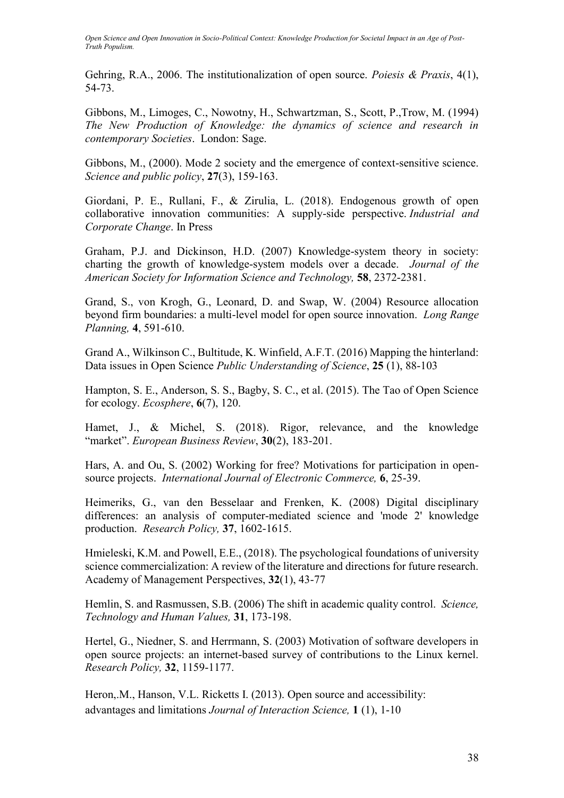Gehring, R.A., 2006. The institutionalization of open source. *Poiesis & Praxis*, 4(1), 54-73.

Gibbons, M., Limoges, C., Nowotny, H., Schwartzman, S., Scott, P.,Trow, M. (1994) *The New Production of Knowledge: the dynamics of science and research in contemporary Societies*. London: Sage.

Gibbons, M., (2000). Mode 2 society and the emergence of context-sensitive science. *Science and public policy*, **27**(3), 159-163.

Giordani, P. E., Rullani, F., & Zirulia, L. (2018). Endogenous growth of open collaborative innovation communities: A supply-side perspective. *Industrial and Corporate Change*. In Press

Graham, P.J. and Dickinson, H.D. (2007) Knowledge-system theory in society: charting the growth of knowledge-system models over a decade. *Journal of the American Society for Information Science and Technology,* **58**, 2372-2381.

Grand, S., von Krogh, G., Leonard, D. and Swap, W. (2004) Resource allocation beyond firm boundaries: a multi-level model for open source innovation. *Long Range Planning,* **4**, 591-610.

Grand A., Wilkinson C., Bultitude, K. Winfield, A.F.T. (2016) Mapping the hinterland: Data issues in Open Science *Public Understanding of Science*, **25** (1), 88-103

Hampton, S. E., Anderson, S. S., Bagby, S. C., et al. (2015). The Tao of Open Science for ecology. *Ecosphere*, **6**(7), 120.

Hamet, J., & Michel, S. (2018). Rigor, relevance, and the knowledge "market". *European Business Review*, **30**(2), 183-201.

Hars, A. and Ou, S. (2002) Working for free? Motivations for participation in opensource projects. *International Journal of Electronic Commerce,* **6**, 25-39.

Heimeriks, G., van den Besselaar and Frenken, K. (2008) Digital disciplinary differences: an analysis of computer-mediated science and 'mode 2' knowledge production. *Research Policy,* **37**, 1602-1615.

Hmieleski, K.M. and Powell, E.E., (2018). The psychological foundations of university science commercialization: A review of the literature and directions for future research. Academy of Management Perspectives, **32**(1), 43-77

Hemlin, S. and Rasmussen, S.B. (2006) The shift in academic quality control. *Science, Technology and Human Values,* **31**, 173-198.

Hertel, G., Niedner, S. and Herrmann, S. (2003) Motivation of software developers in open source projects: an internet-based survey of contributions to the Linux kernel. *Research Policy,* **32**, 1159-1177.

Heron, M., Hanson, V.L. Ricketts I. (2013). Open source and accessibility: advantages and limitations *Journal of Interaction Science,* **1** (1), 1-10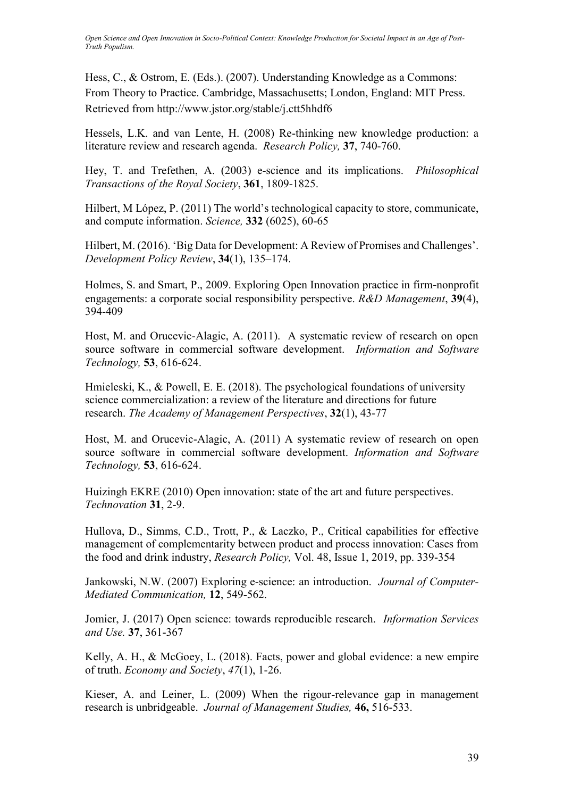Hess, C., & Ostrom, E. (Eds.). (2007). Understanding Knowledge as a Commons: From Theory to Practice. Cambridge, Massachusetts; London, England: MIT Press. Retrieved from http://www.jstor.org/stable/j.ctt5hhdf6

Hessels, L.K. and van Lente, H. (2008) Re-thinking new knowledge production: a literature review and research agenda. *Research Policy,* **37**, 740-760.

Hey, T. and Trefethen, A. (2003) e-science and its implications. *Philosophical Transactions of the Royal Society*, **361**, 1809-1825.

Hilbert, M López, P. (2011) The world's technological capacity to store, communicate, and compute information. *Science,* **332** (6025), 60-65

Hilbert, M. (2016). 'Big Data for Development: A Review of Promises and Challenges'. *Development Policy Review*, **34**(1), 135–174.

Holmes, S. and Smart, P., 2009. Exploring Open Innovation practice in firm-nonprofit engagements: a corporate social responsibility perspective. *R&D Management*, **39**(4), 394-409

Host, M. and Orucevic-Alagic, A. (2011). A systematic review of research on open source software in commercial software development. *Information and Software Technology,* **53**, 616-624.

Hmieleski, K., & Powell, E. E. (2018). The psychological foundations of university science commercialization: a review of the literature and directions for future research. *The Academy of Management Perspectives*, **32**(1), 43-77

Host, M. and Orucevic-Alagic, A. (2011) A systematic review of research on open source software in commercial software development. *Information and Software Technology,* **53**, 616-624.

Huizingh EKRE (2010) Open innovation: state of the art and future perspectives. *Technovation* **31**, 2-9.

Hullova, D., Simms, C.D., Trott, P., & Laczko, P., Critical capabilities for effective management of complementarity between product and process innovation: Cases from the food and drink industry, *Research Policy,* Vol. 48, Issue 1, 2019, pp. 339-354

Jankowski, N.W. (2007) Exploring e-science: an introduction. *Journal of Computer-Mediated Communication,* **12**, 549-562.

Jomier, J. (2017) Open science: towards reproducible research. *Information Services and Use.* **37**, 361-367

Kelly, A. H., & McGoey, L. (2018). Facts, power and global evidence: a new empire of truth. *Economy and Society*, *47*(1), 1-26.

Kieser, A. and Leiner, L. (2009) When the rigour-relevance gap in management research is unbridgeable. *Journal of Management Studies,* **46,** 516-533.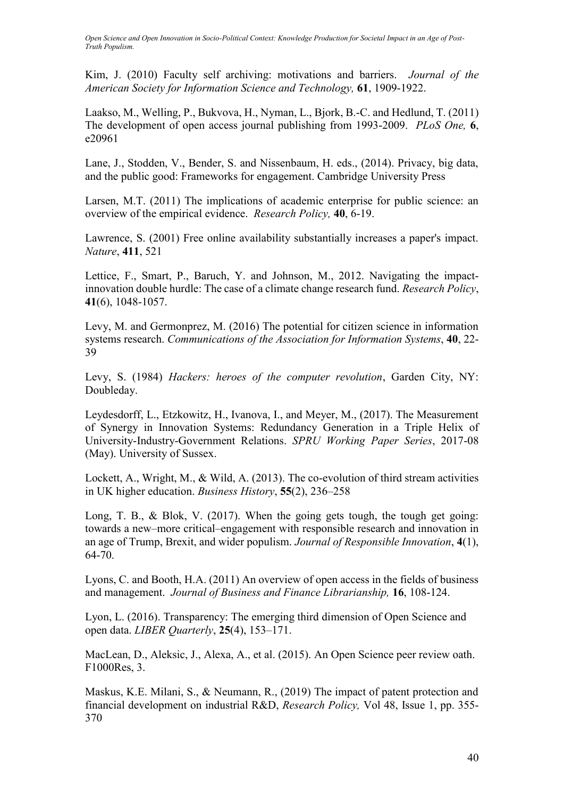Kim, J. (2010) Faculty self archiving: motivations and barriers. *Journal of the American Society for Information Science and Technology,* **61**, 1909-1922.

Laakso, M., Welling, P., Bukvova, H., Nyman, L., Bjork, B.-C. and Hedlund, T. (2011) The development of open access journal publishing from 1993-2009. *PLoS One,* **6**, e20961

Lane, J., Stodden, V., Bender, S. and Nissenbaum, H. eds., (2014). Privacy, big data, and the public good: Frameworks for engagement. Cambridge University Press

Larsen, M.T. (2011) The implications of academic enterprise for public science: an overview of the empirical evidence. *Research Policy,* **40**, 6-19.

Lawrence, S. (2001) Free online availability substantially increases a paper's impact. *Nature*, **411**, 521

Lettice, F., Smart, P., Baruch, Y. and Johnson, M., 2012. Navigating the impactinnovation double hurdle: The case of a climate change research fund. *Research Policy*, **41**(6), 1048-1057.

Levy, M. and Germonprez, M. (2016) The potential for citizen science in information systems research. *Communications of the Association for Information Systems*, **40**, 22- 39

Levy, S. (1984) *Hackers: heroes of the computer revolution*, Garden City, NY: Doubleday.

Leydesdorff, L., Etzkowitz, H., Ivanova, I., and Meyer, M., (2017). The Measurement of Synergy in Innovation Systems: Redundancy Generation in a Triple Helix of University-Industry-Government Relations. *SPRU Working Paper Series*, 2017-08 (May). University of Sussex.

Lockett, A., Wright, M., & Wild, A. (2013). The co-evolution of third stream activities in UK higher education. *Business History*, **55**(2), 236–258

Long, T. B., & Blok, V. (2017). When the going gets tough, the tough get going: towards a new–more critical–engagement with responsible research and innovation in an age of Trump, Brexit, and wider populism. *Journal of Responsible Innovation*, **4**(1), 64-70.

Lyons, C. and Booth, H.A. (2011) An overview of open access in the fields of business and management. *Journal of Business and Finance Librarianship,* **16**, 108-124.

Lyon, L. (2016). Transparency: The emerging third dimension of Open Science and open data. *LIBER Quarterly*, **25**(4), 153–171.

MacLean, D., Aleksic, J., Alexa, A., et al. (2015). An Open Science peer review oath. F1000Res, 3.

Maskus, K.E. Milani, S., & Neumann, R., (2019) The impact of patent protection and financial development on industrial R&D, *Research Policy,* Vol 48, Issue 1, pp. 355- 370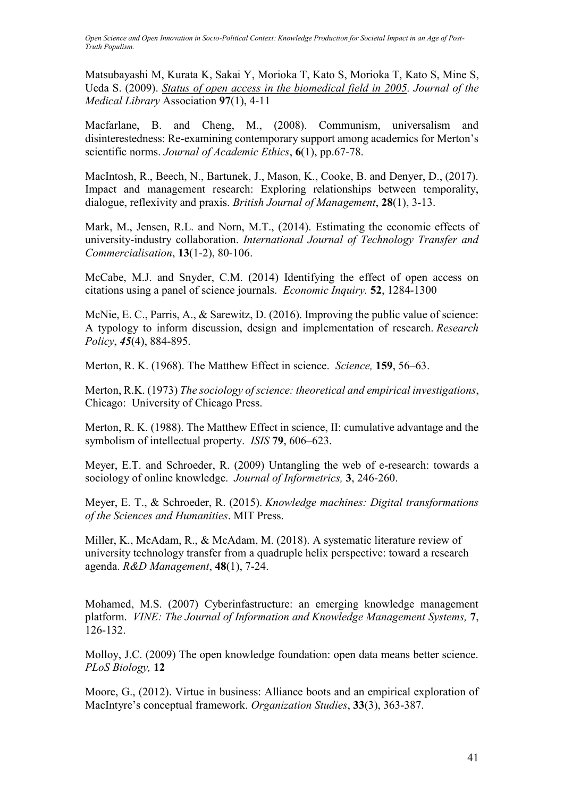Matsubayashi M, Kurata K, Sakai Y, Morioka T, Kato S, Morioka T, Kato S, Mine S, Ueda S. (2009). *[Status of open access in the biomedical field in 2005.](https://scholar.google.com/scholar_lookup?title=Status%20of%20open%20access%20in%20the%20biomedical%20field%20in%202005&author=Matsubayashi&publication_year=2009) Journal of the Medical Library* Association **97**(1), 4-11

Macfarlane, B. and Cheng, M., (2008). Communism, universalism and disinterestedness: Re-examining contemporary support among academics for Merton's scientific norms. *Journal of Academic Ethics*, **6**(1), pp.67-78.

MacIntosh, R., Beech, N., Bartunek, J., Mason, K., Cooke, B. and Denyer, D., (2017). Impact and management research: Exploring relationships between temporality, dialogue, reflexivity and praxis. *British Journal of Management*, **28**(1), 3-13.

Mark, M., Jensen, R.L. and Norn, M.T., (2014). Estimating the economic effects of university-industry collaboration. *International Journal of Technology Transfer and Commercialisation*, **13**(1-2), 80-106.

McCabe, M.J. and Snyder, C.M. (2014) Identifying the effect of open access on citations using a panel of science journals. *Economic Inquiry.* **52**, 1284-1300

McNie, E. C., Parris, A., & Sarewitz, D. (2016). Improving the public value of science: A typology to inform discussion, design and implementation of research. *Research Policy*, *45*(4), 884-895.

Merton, R. K. (1968). The Matthew Effect in science. *Science,* **159**, 56–63.

Merton, R.K. (1973) *The sociology of science: theoretical and empirical investigations*, Chicago: University of Chicago Press.

Merton, R. K. (1988). The Matthew Effect in science, II: cumulative advantage and the symbolism of intellectual property. *ISIS* **79**, 606–623.

Meyer, E.T. and Schroeder, R. (2009) Untangling the web of e-research: towards a sociology of online knowledge. *Journal of Informetrics,* **3**, 246-260.

Meyer, E. T., & Schroeder, R. (2015). *Knowledge machines: Digital transformations of the Sciences and Humanities*. MIT Press.

Miller, K., McAdam, R., & McAdam, M. (2018). A systematic literature review of university technology transfer from a quadruple helix perspective: toward a research agenda. *R&D Management*, **48**(1), 7-24.

Mohamed, M.S. (2007) Cyberinfastructure: an emerging knowledge management platform. *VINE: The Journal of Information and Knowledge Management Systems,* **7**, 126-132.

Molloy, J.C. (2009) The open knowledge foundation: open data means better science. *PLoS Biology,* **12**

Moore, G., (2012). Virtue in business: Alliance boots and an empirical exploration of MacIntyre's conceptual framework. *Organization Studies*, **33**(3), 363-387.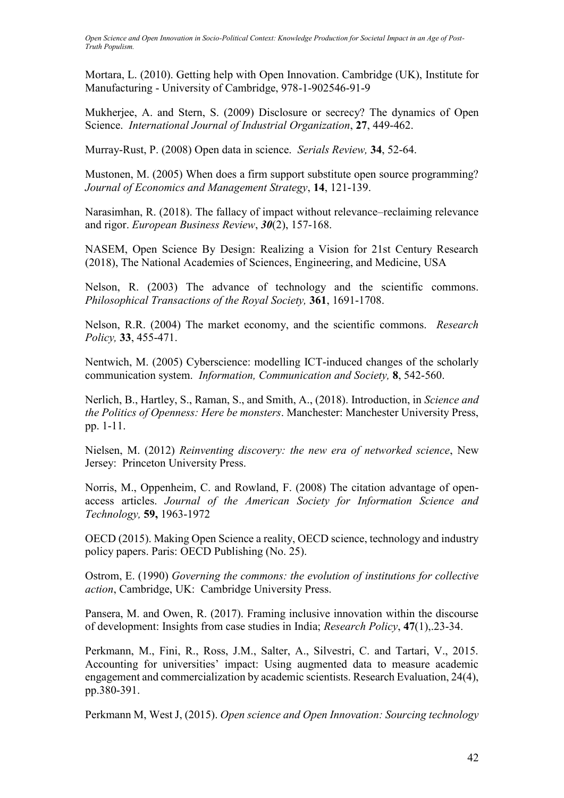Mortara, L. (2010). Getting help with Open Innovation. Cambridge (UK), Institute for Manufacturing - University of Cambridge, 978-1-902546-91-9

Mukherjee, A. and Stern, S. (2009) Disclosure or secrecy? The dynamics of Open Science. *International Journal of Industrial Organization*, **27**, 449-462.

Murray-Rust, P. (2008) Open data in science. *Serials Review,* **34**, 52-64.

Mustonen, M. (2005) When does a firm support substitute open source programming? *Journal of Economics and Management Strategy*, **14**, 121-139.

Narasimhan, R. (2018). The fallacy of impact without relevance–reclaiming relevance and rigor. *European Business Review*, *30*(2), 157-168.

NASEM, Open Science By Design: Realizing a Vision for 21st Century Research (2018), The National Academies of Sciences, Engineering, and Medicine, USA

Nelson, R. (2003) The advance of technology and the scientific commons. *Philosophical Transactions of the Royal Society,* **361**, 1691-1708.

Nelson, R.R. (2004) The market economy, and the scientific commons. *Research Policy,* **33**, 455-471.

Nentwich, M. (2005) Cyberscience: modelling ICT-induced changes of the scholarly communication system. *Information, Communication and Society,* **8**, 542-560.

Nerlich, B., Hartley, S., Raman, S., and Smith, A., (2018). Introduction, in *Science and the Politics of Openness: Here be monsters*. Manchester: Manchester University Press, pp. 1-11.

Nielsen, M. (2012) *Reinventing discovery: the new era of networked science*, New Jersey: Princeton University Press.

Norris, M., Oppenheim, C. and Rowland, F. (2008) The citation advantage of openaccess articles. *Journal of the American Society for Information Science and Technology,* **59,** 1963-1972

OECD (2015). Making Open Science a reality, OECD science, technology and industry policy papers. Paris: OECD Publishing (No. 25).

Ostrom, E. (1990) *Governing the commons: the evolution of institutions for collective action*, Cambridge, UK: Cambridge University Press.

Pansera, M. and Owen, R. (2017). Framing inclusive innovation within the discourse of development: Insights from case studies in India; *Research Policy*, **47**(1),.23-34.

Perkmann, M., Fini, R., Ross, J.M., Salter, A., Silvestri, C. and Tartari, V., 2015. Accounting for universities' impact: Using augmented data to measure academic engagement and commercialization by academic scientists. Research Evaluation, 24(4), pp.380-391.

Perkmann M, West J, (2015). *Open science and Open Innovation: Sourcing technology*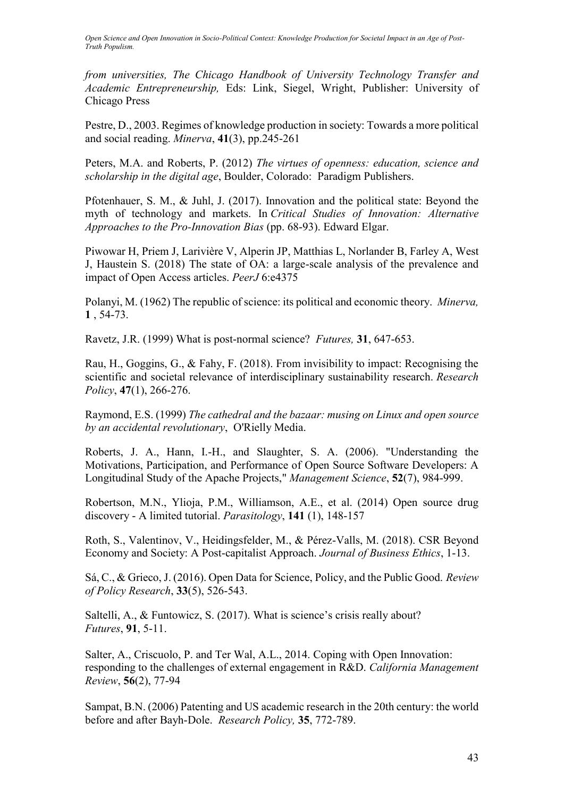*from universities, The Chicago Handbook of University Technology Transfer and Academic Entrepreneurship,* Eds: Link, Siegel, Wright, Publisher: University of Chicago Press

Pestre, D., 2003. Regimes of knowledge production in society: Towards a more political and social reading. *Minerva*, **41**(3), pp.245-261

Peters, M.A. and Roberts, P. (2012) *The virtues of openness: education, science and scholarship in the digital age*, Boulder, Colorado: Paradigm Publishers.

Pfotenhauer, S. M., & Juhl, J. (2017). Innovation and the political state: Beyond the myth of technology and markets. In *Critical Studies of Innovation: Alternative Approaches to the Pro-Innovation Bias* (pp. 68-93). Edward Elgar.

Piwowar H, Priem J, Larivière V, Alperin JP, Matthias L, Norlander B, Farley A, West J, Haustein S. (2018) The state of OA: a large-scale analysis of the prevalence and impact of Open Access articles. *PeerJ* 6:e4375

Polanyi, M. (1962) The republic of science: its political and economic theory. *Minerva,* **1** , 54-73.

Ravetz, J.R. (1999) What is post-normal science? *Futures,* **31**, 647-653.

Rau, H., Goggins, G., & Fahy, F. (2018). From invisibility to impact: Recognising the scientific and societal relevance of interdisciplinary sustainability research. *Research Policy*, **47**(1), 266-276.

Raymond, E.S. (1999) *The cathedral and the bazaar: musing on Linux and open source by an accidental revolutionary*, O'Rielly Media.

Roberts, J. A., Hann, I.-H., and Slaughter, S. A. (2006). "Understanding the Motivations, Participation, and Performance of Open Source Software Developers: A Longitudinal Study of the Apache Projects," *Management Science*, **52**(7), 984-999.

Robertson, M.N., Ylioja, P.M., Williamson, A.E., et al. (2014) Open source drug discovery - A limited tutorial. *Parasitology*, **141** (1), 148-157

Roth, S., Valentinov, V., Heidingsfelder, M., & Pérez-Valls, M. (2018). CSR Beyond Economy and Society: A Post-capitalist Approach. *Journal of Business Ethics*, 1-13.

Sá, C., & Grieco, J. (2016). Open Data for Science, Policy, and the Public Good. *Review of Policy Research*, **33**(5), 526-543.

Saltelli, A., & Funtowicz, S. (2017). What is science's crisis really about? *Futures*, **91**, 5-11.

Salter, A., Criscuolo, P. and Ter Wal, A.L., 2014. Coping with Open Innovation: responding to the challenges of external engagement in R&D. *California Management Review*, **56**(2), 77-94

Sampat, B.N. (2006) Patenting and US academic research in the 20th century: the world before and after Bayh-Dole. *Research Policy,* **35**, 772-789.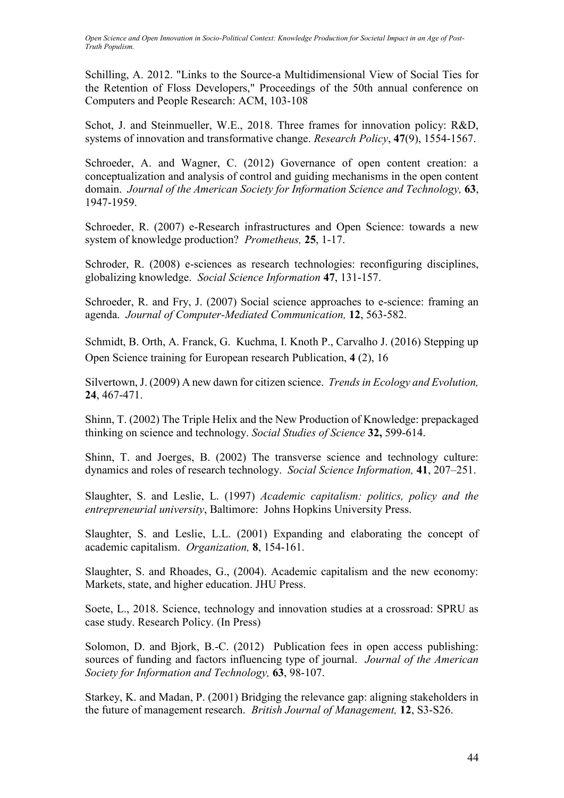Schilling, A. 2012. "Links to the Source-a Multidimensional View of Social Ties for the Retention of Floss Developers," Proceedings of the 50th annual conference on Computers and People Research: ACM, 103-108

Schot, J. and Steinmueller, W.E., 2018. Three frames for innovation policy: R&D, systems of innovation and transformative change. *Research Policy*, **47**(9), 1554-1567.

Schroeder, A. and Wagner, C. (2012) Governance of open content creation: a conceptualization and analysis of control and guiding mechanisms in the open content domain. *Journal of the American Society for Information Science and Technology,* **63**, 1947-1959.

Schroeder, R. (2007) e-Research infrastructures and Open Science: towards a new system of knowledge production? *Prometheus,* **25**, 1-17.

Schroder, R. (2008) e-sciences as research technologies: reconfiguring disciplines, globalizing knowledge. *Social Science Information* **47**, 131-157.

Schroeder, R. and Fry, J. (2007) Social science approaches to e-science: framing an agenda. *Journal of Computer-Mediated Communication,* **12**, 563-582.

Schmidt, B. Orth, A. Franck, G. Kuchma, I. Knoth P., Carvalho J. (2016) Stepping up Open Science training for European research Publication, **4** (2), 16

Silvertown, J. (2009) A new dawn for citizen science. *Trends in Ecology and Evolution,* **24**, 467-471.

Shinn, T. (2002) The Triple Helix and the New Production of Knowledge: prepackaged thinking on science and technology. *Social Studies of Science* **32,** 599-614.

Shinn, T. and Joerges, B. (2002) The transverse science and technology culture: dynamics and roles of research technology. *Social Science Information,* **41**, 207–251.

Slaughter, S. and Leslie, L. (1997) *Academic capitalism: politics, policy and the entrepreneurial university*, Baltimore: Johns Hopkins University Press.

Slaughter, S. and Leslie, L.L. (2001) Expanding and elaborating the concept of academic capitalism. *Organization,* **8**, 154-161.

Slaughter, S. and Rhoades, G., (2004). Academic capitalism and the new economy: Markets, state, and higher education. JHU Press.

Soete, L., 2018. Science, technology and innovation studies at a crossroad: SPRU as case study. Research Policy. (In Press)

Solomon, D. and Bjork, B.-C. (2012) Publication fees in open access publishing: sources of funding and factors influencing type of journal. *Journal of the American Society for Information and Technology,* **63**, 98-107.

Starkey, K. and Madan, P. (2001) Bridging the relevance gap: aligning stakeholders in the future of management research. *British Journal of Management,* **12**, S3-S26.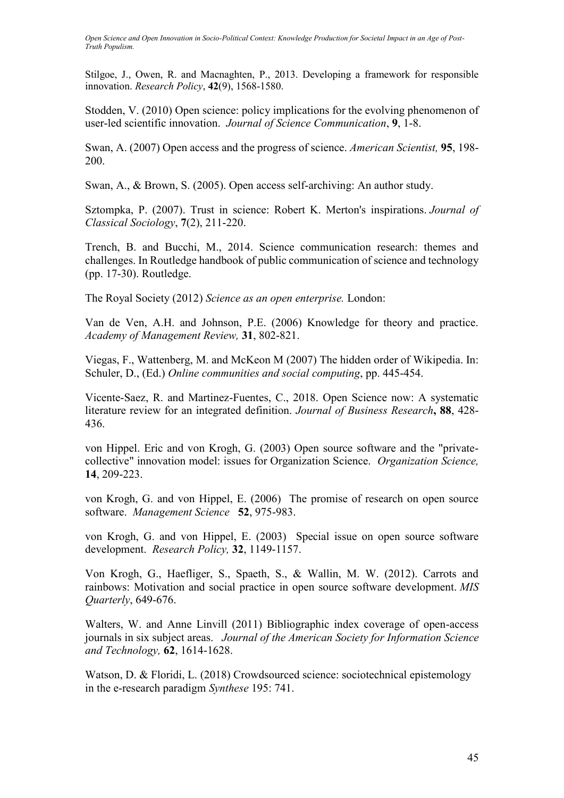Stilgoe, J., Owen, R. and Macnaghten, P., 2013. Developing a framework for responsible innovation. *Research Policy*, **42**(9), 1568-1580.

Stodden, V. (2010) Open science: policy implications for the evolving phenomenon of user-led scientific innovation. *Journal of Science Communication*, **9**, 1-8.

Swan, A. (2007) Open access and the progress of science. *American Scientist,* **95**, 198- 200.

Swan, A., & Brown, S. (2005). Open access self-archiving: An author study.

Sztompka, P. (2007). Trust in science: Robert K. Merton's inspirations. *Journal of Classical Sociology*, **7**(2), 211-220.

Trench, B. and Bucchi, M., 2014. Science communication research: themes and challenges. In Routledge handbook of public communication of science and technology (pp. 17-30). Routledge.

The Royal Society (2012) *Science as an open enterprise.* London:

Van de Ven, A.H. and Johnson, P.E. (2006) Knowledge for theory and practice. *Academy of Management Review,* **31**, 802-821.

Viegas, F., Wattenberg, M. and McKeon M (2007) The hidden order of Wikipedia. In: Schuler, D., (Ed.) *Online communities and social computing*, pp. 445-454.

Vicente-Saez, R. and Martinez-Fuentes, C., 2018. Open Science now: A systematic literature review for an integrated definition. *Journal of Business Research***, 88**, 428- 436.

von Hippel. Eric and von Krogh, G. (2003) Open source software and the "privatecollective" innovation model: issues for Organization Science. *Organization Science,* **14**, 209-223.

von Krogh, G. and von Hippel, E. (2006) The promise of research on open source software. *Management Science* **52**, 975-983.

von Krogh, G. and von Hippel, E. (2003) Special issue on open source software development. *Research Policy,* **32**, 1149-1157.

Von Krogh, G., Haefliger, S., Spaeth, S., & Wallin, M. W. (2012). Carrots and rainbows: Motivation and social practice in open source software development. *MIS Quarterly*, 649-676.

Walters, W. and Anne Linvill (2011) Bibliographic index coverage of open-access journals in six subject areas. *Journal of the American Society for Information Science and Technology,* **62**, 1614-1628.

Watson, D. & Floridi, L. (2018) Crowdsourced science: sociotechnical epistemology in the e-research paradigm *Synthese* 195: 741.